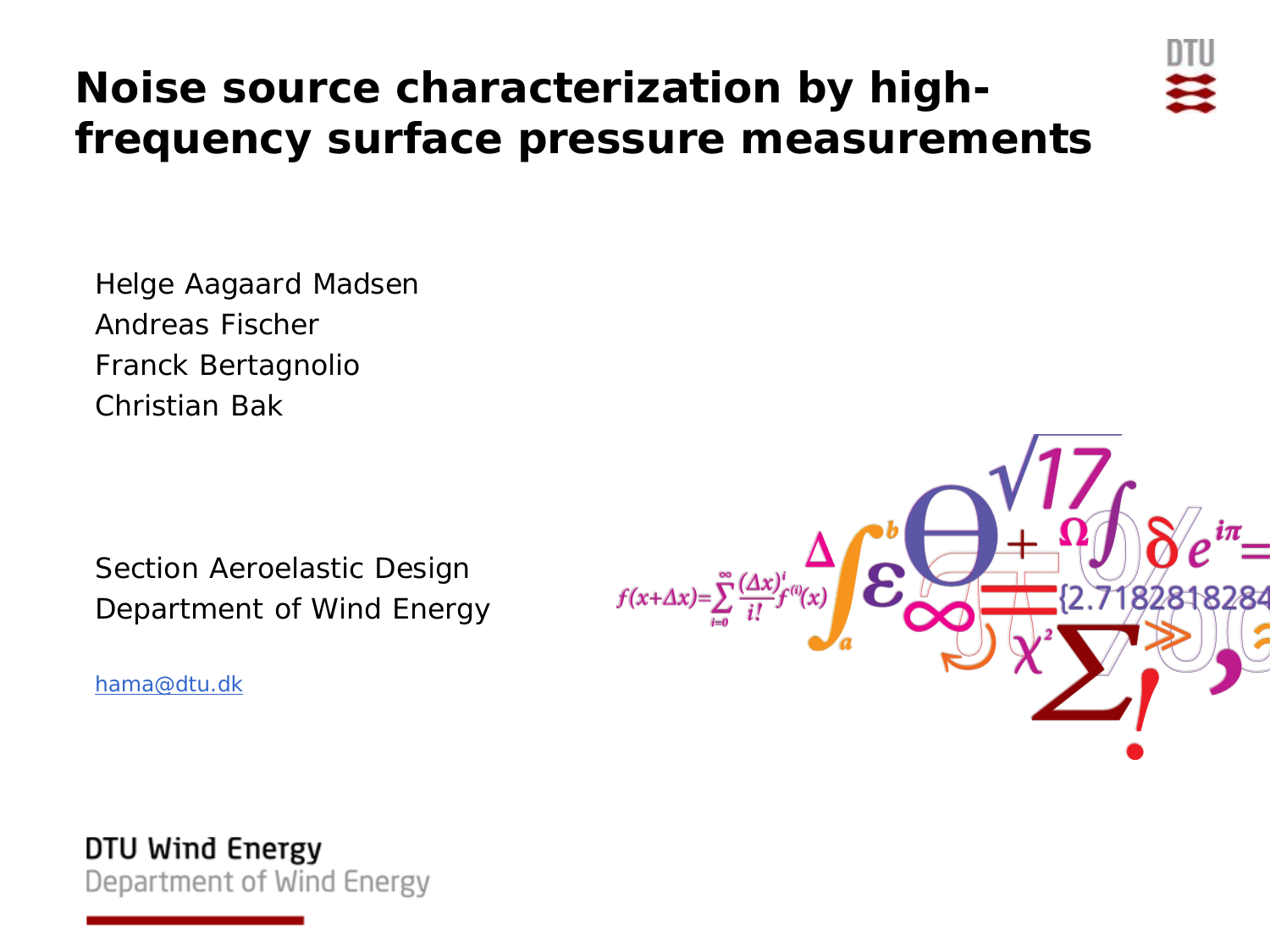## **Noise source characterization by highfrequency surface pressure measurements**



Helge Aagaard Madsen Andreas Fischer Franck Bertagnolio Christian Bak

Section Aeroelastic Design Department of Wind Energy

[hama@dtu.dk](mailto:hama@dtu.dk)



DTU Wind Energy Department of Wind Energy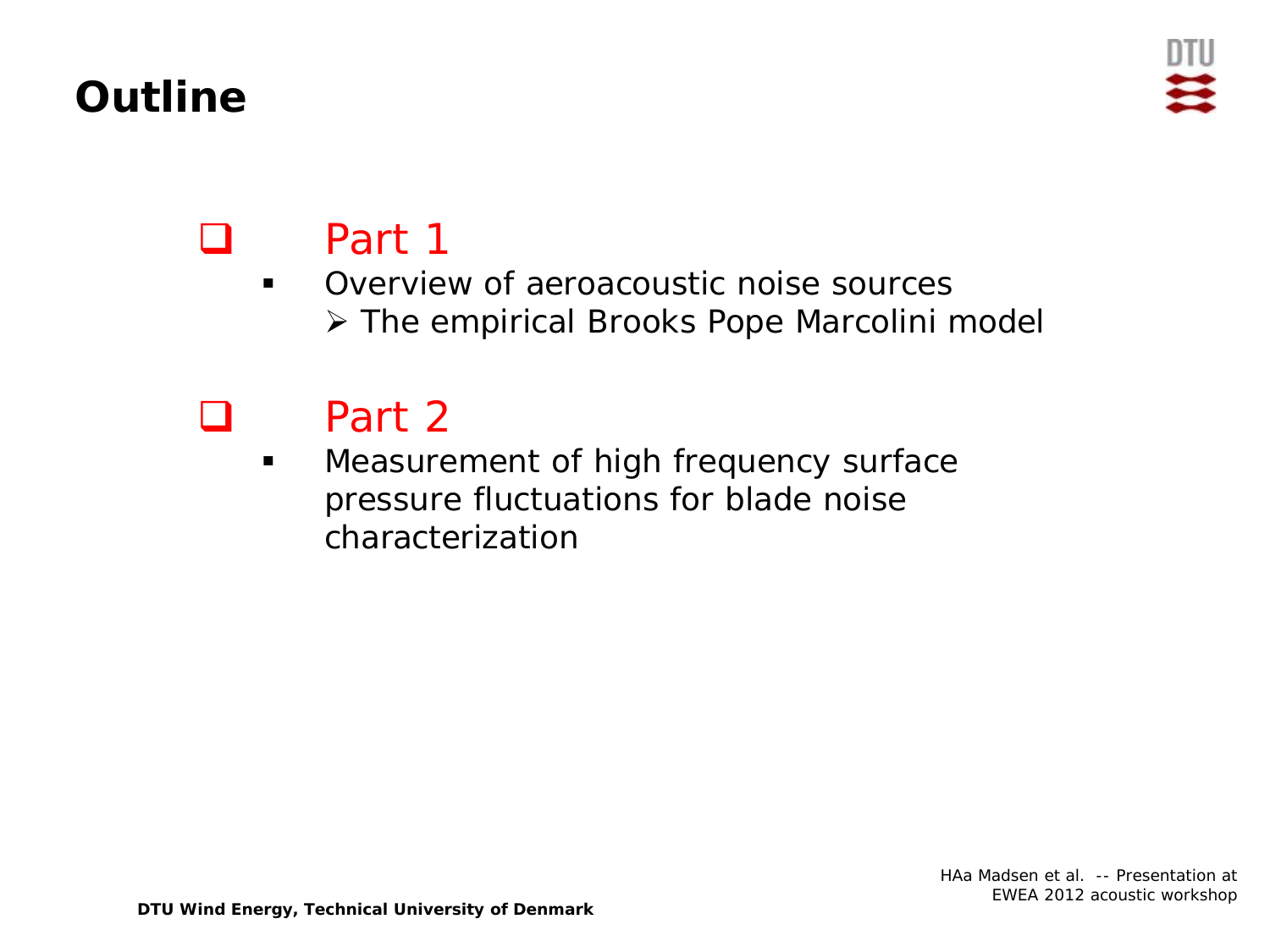## **Outline**



# Part 1

#### **• Overview of aeroacoustic noise sources** The empirical Brooks Pope Marcolini model

## Part 2

**Measurement of high frequency surface** pressure fluctuations for blade noise characterization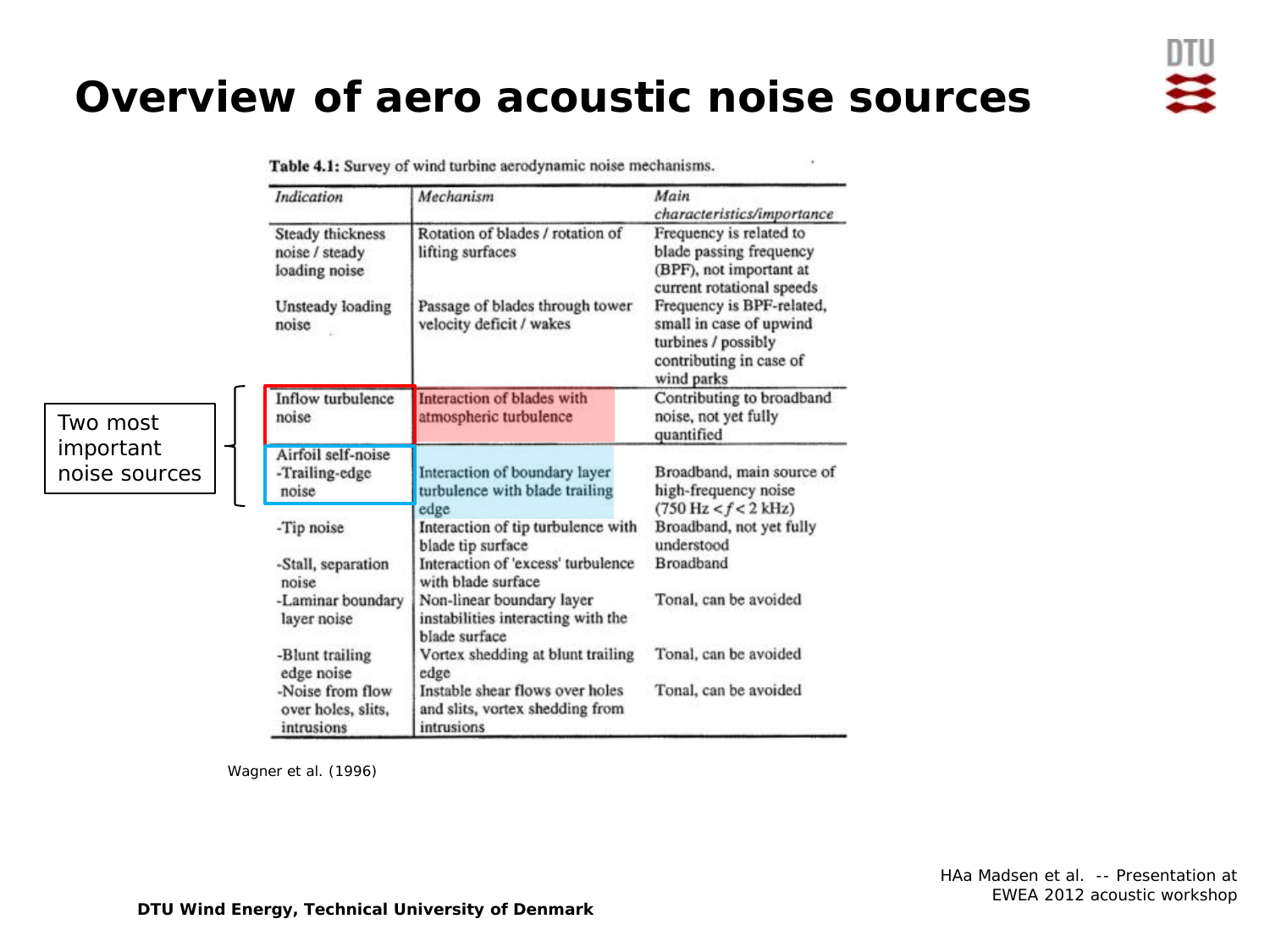#### **Overview of aero acoustic noise sources**

Table 4.1: Survey of wind turbine aerodynamic noise mechanisms.

| Indication                                                                       | Mechanism                                                                                                                   | Main<br>characteristics/importance                                                                                                                                                                                                 |  |
|----------------------------------------------------------------------------------|-----------------------------------------------------------------------------------------------------------------------------|------------------------------------------------------------------------------------------------------------------------------------------------------------------------------------------------------------------------------------|--|
| Steady thickness<br>noise / steady<br>loading noise<br>Unsteady loading<br>noise | Rotation of blades / rotation of<br>lifting surfaces<br>Passage of blades through tower<br>velocity deficit / wakes         | Frequency is related to<br>blade passing frequency<br>(BPF), not important at<br>current rotational speeds<br>Frequency is BPF-related,<br>small in case of upwind<br>turbines / possibly<br>contributing in case of<br>wind parks |  |
| Inflow turbulence<br>noise                                                       | Interaction of blades with<br>atmospheric turbulence                                                                        | Contributing to broadband<br>noise, not yet fully<br>quantified                                                                                                                                                                    |  |
| Airfoil self-noise<br>-Trailing-edge<br>noise                                    | Interaction of boundary layer<br>turbulence with blade trailing                                                             | Broadband, main source of<br>high-frequency noise                                                                                                                                                                                  |  |
| -Tip noise<br>-Stall, separation<br>noise                                        | edge<br>Interaction of tip turbulence with<br>blade tip surface<br>Interaction of 'excess' turbulence<br>with blade surface | $(750 \text{ Hz} < f < 2 \text{ kHz})$<br>Broadband, not yet fully<br>understood<br><b>Broadband</b>                                                                                                                               |  |
| -Laminar boundary<br>layer noise                                                 | Non-linear boundary layer<br>instabilities interacting with the<br>blade surface                                            | Tonal, can be avoided                                                                                                                                                                                                              |  |
| -Blunt trailing<br>edge noise                                                    | Vortex shedding at blunt trailing<br>edge                                                                                   | Tonal, can be avoided                                                                                                                                                                                                              |  |
| -Noise from flow<br>over holes, slits,<br>intrusions                             | Instable shear flows over holes<br>and slits, vortex shedding from<br>intrusions                                            | Tonal, can be avoided                                                                                                                                                                                                              |  |

Wagner et al. (1996)

Two most important noise sources

> HAa Madsen et al. -- Presentation at EWEA 2012 acoustic workshop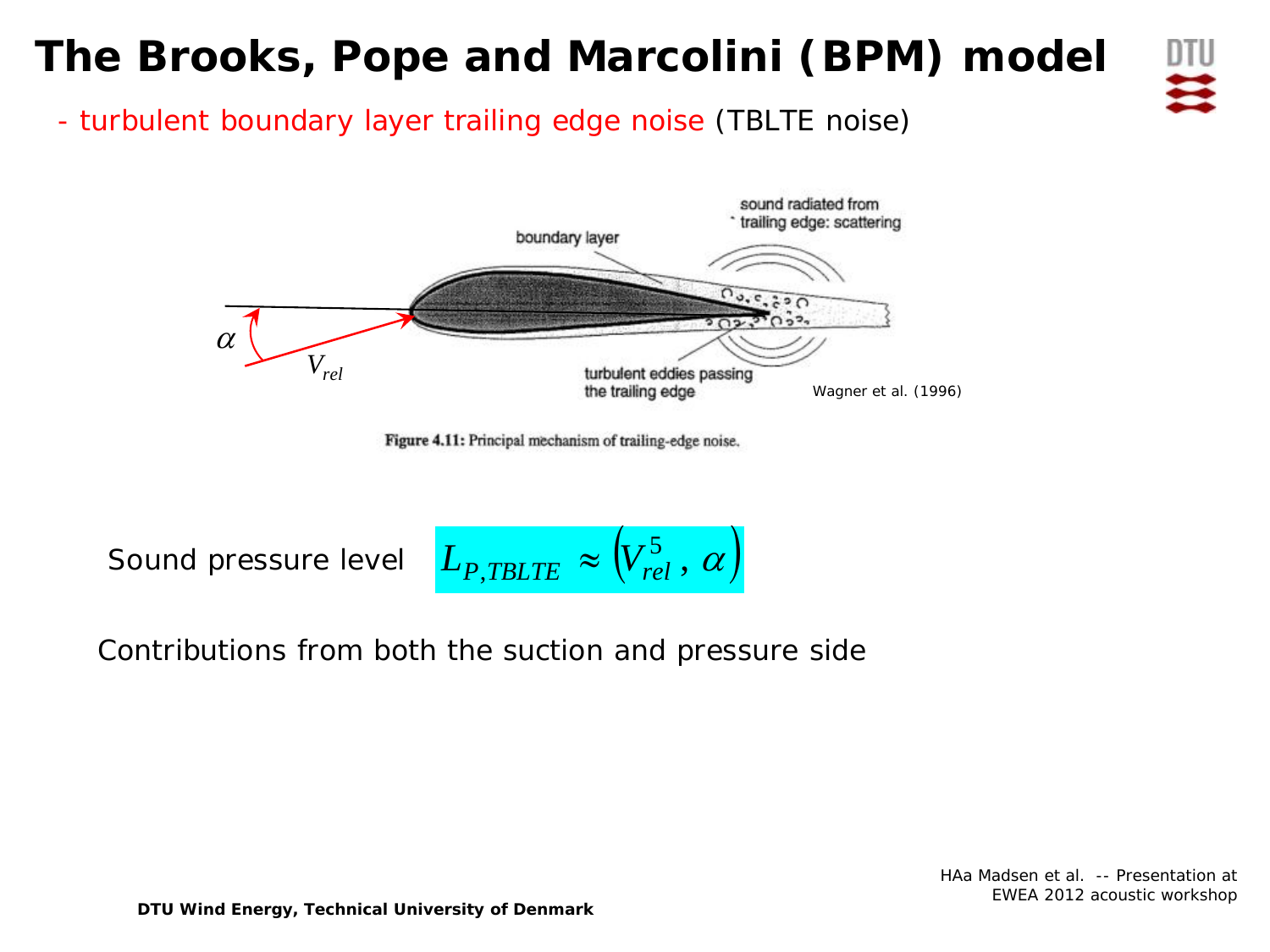## **The Brooks, Pope and Marcolini (BPM) model**



- turbulent boundary layer trailing edge noise *(TBLTE noise)*



Figure 4.11: Principal mechanism of trailing-edge noise.

Sound pressure level

 $(L_{P, TBLTE} \approx (V_{rel}^5, \alpha))$ 

Contributions from both the suction and pressure side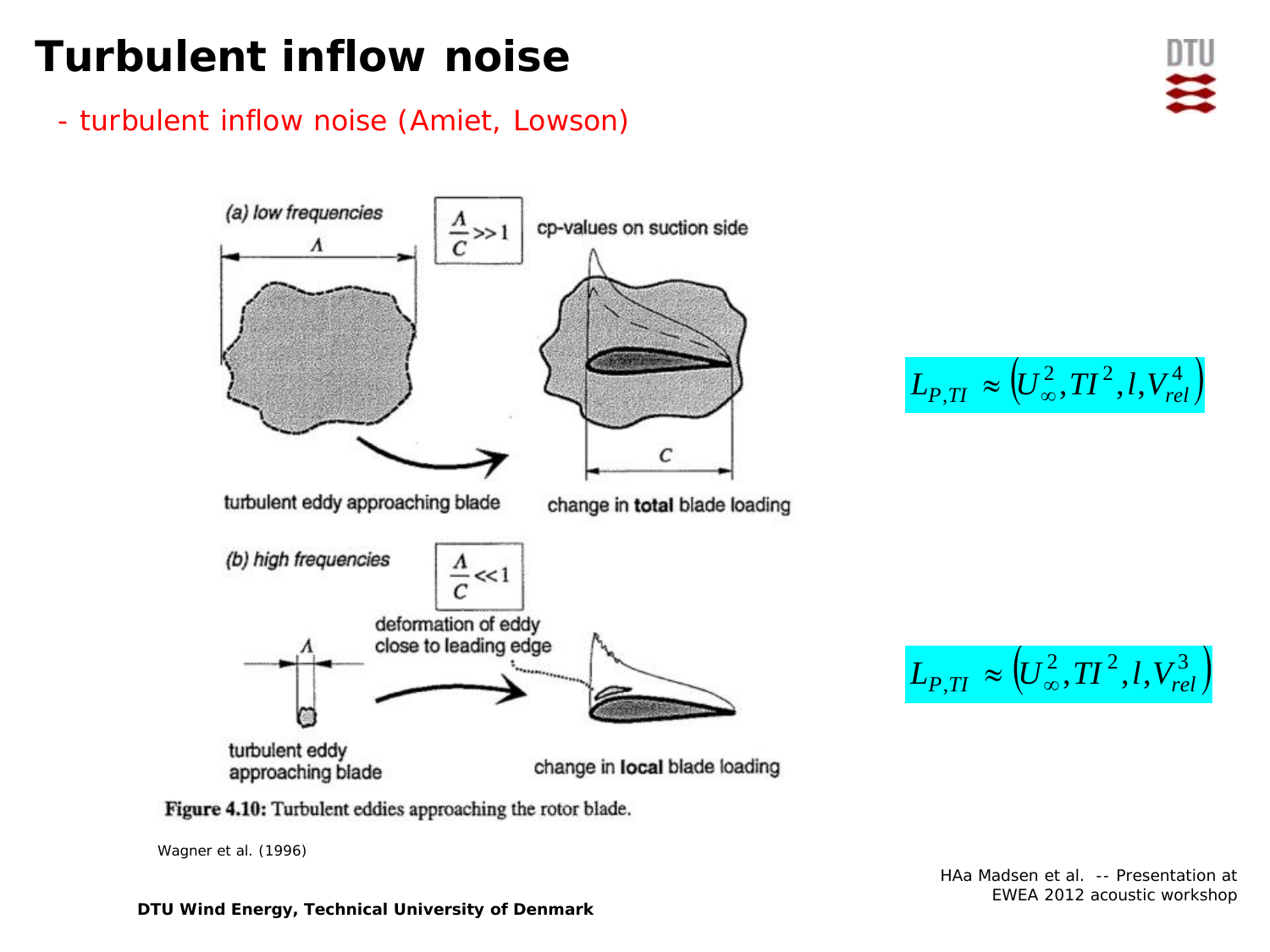## **Turbulent inflow noise**

- turbulent inflow noise (Amiet, Lowson)



 $L_{P, TI}\approx \left( U_{\infty}^{\,2}, TI^{\,2},l,V_{rel}^{\,4}\right)$ 

 $L_{P, TI}\ \approx \left( U_{\infty}^{\,2}, TI^{\,2},l,V_{rel}^{\,3}\right)$ 

Figure 4.10: Turbulent eddies approaching the rotor blade.

Wagner et al. (1996)

HAa Madsen et al. -- Presentation at EWEA 2012 acoustic workshop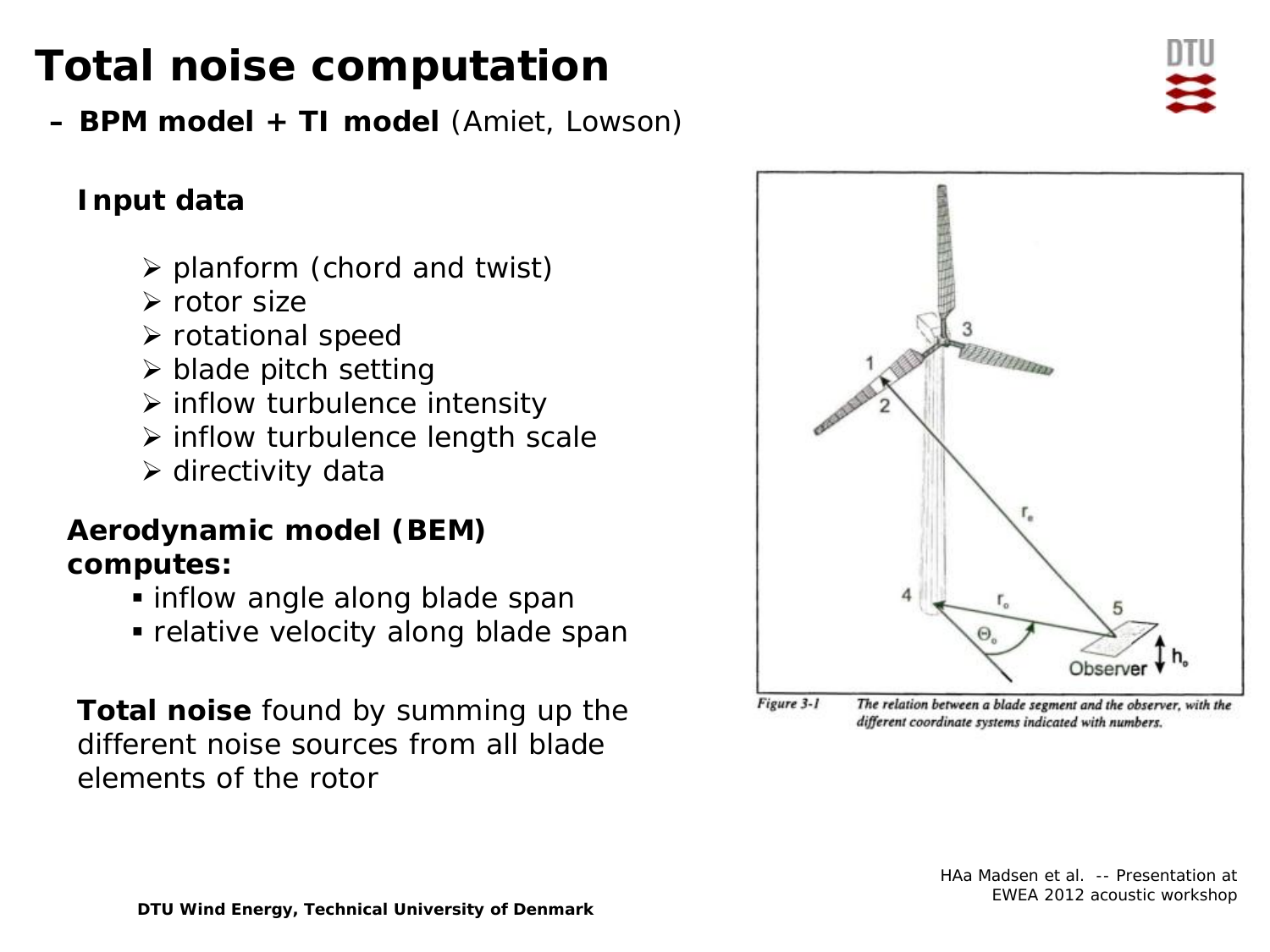## **Total noise computation**

**– BPM model + TI model** (Amiet, Lowson)

#### **Input data**

- $\triangleright$  planform (chord and twist)
- $\triangleright$  rotor size
- $\triangleright$  rotational speed
- $\triangleright$  blade pitch setting
- $\triangleright$  inflow turbulence intensity
- $\triangleright$  inflow turbulence length scale
- $\triangleright$  directivity data

#### **Aerodynamic model (BEM) computes:**

- inflow angle along blade span
- relative velocity along blade span

**Total noise** found by summing up the different noise sources from all blade elements of the rotor



Figure 3-1 The relation between a blade segment and the observer, with the different coordinate systems indicated with numbers.

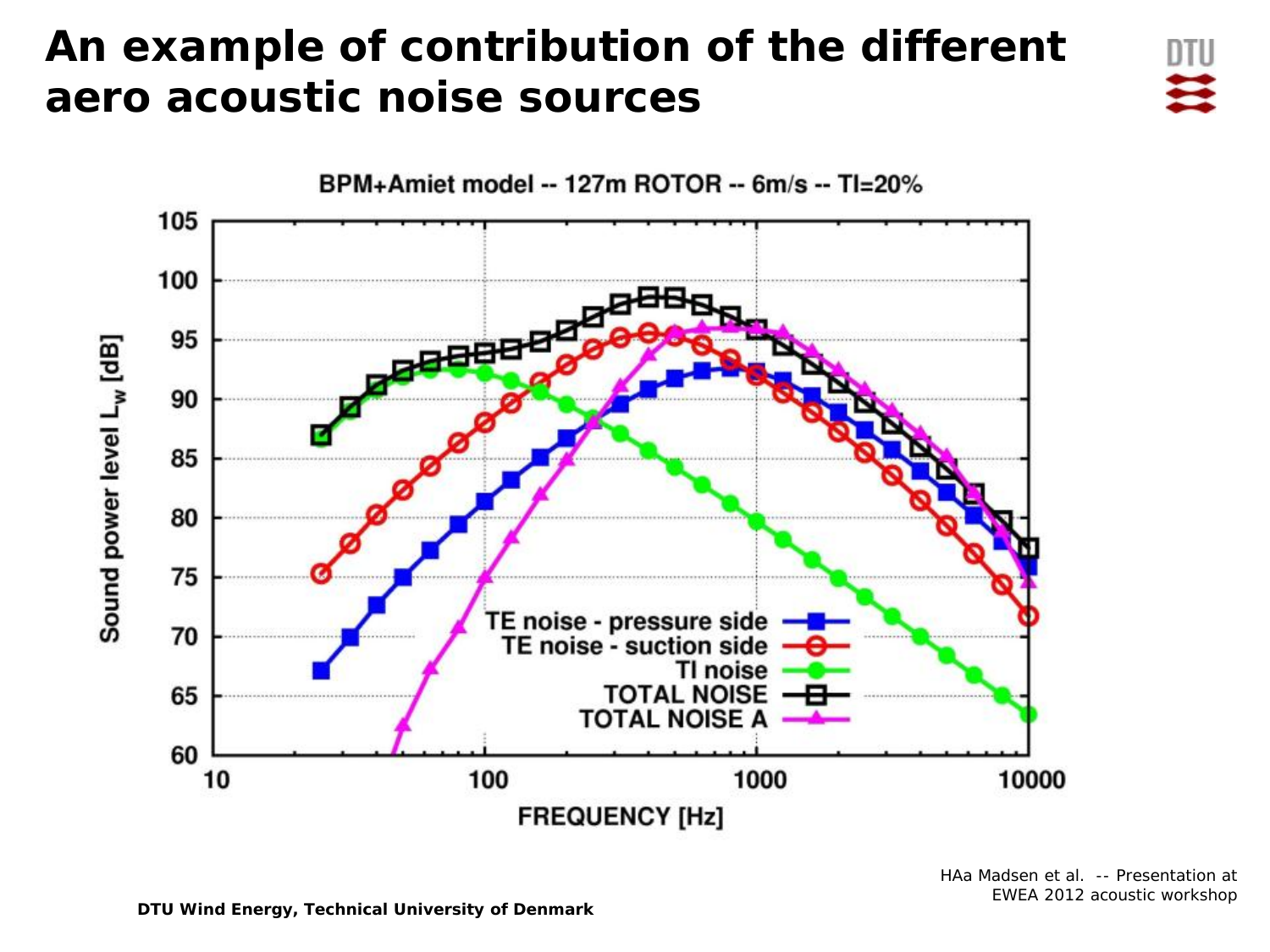## **An example of contribution of the different aero acoustic noise sources**



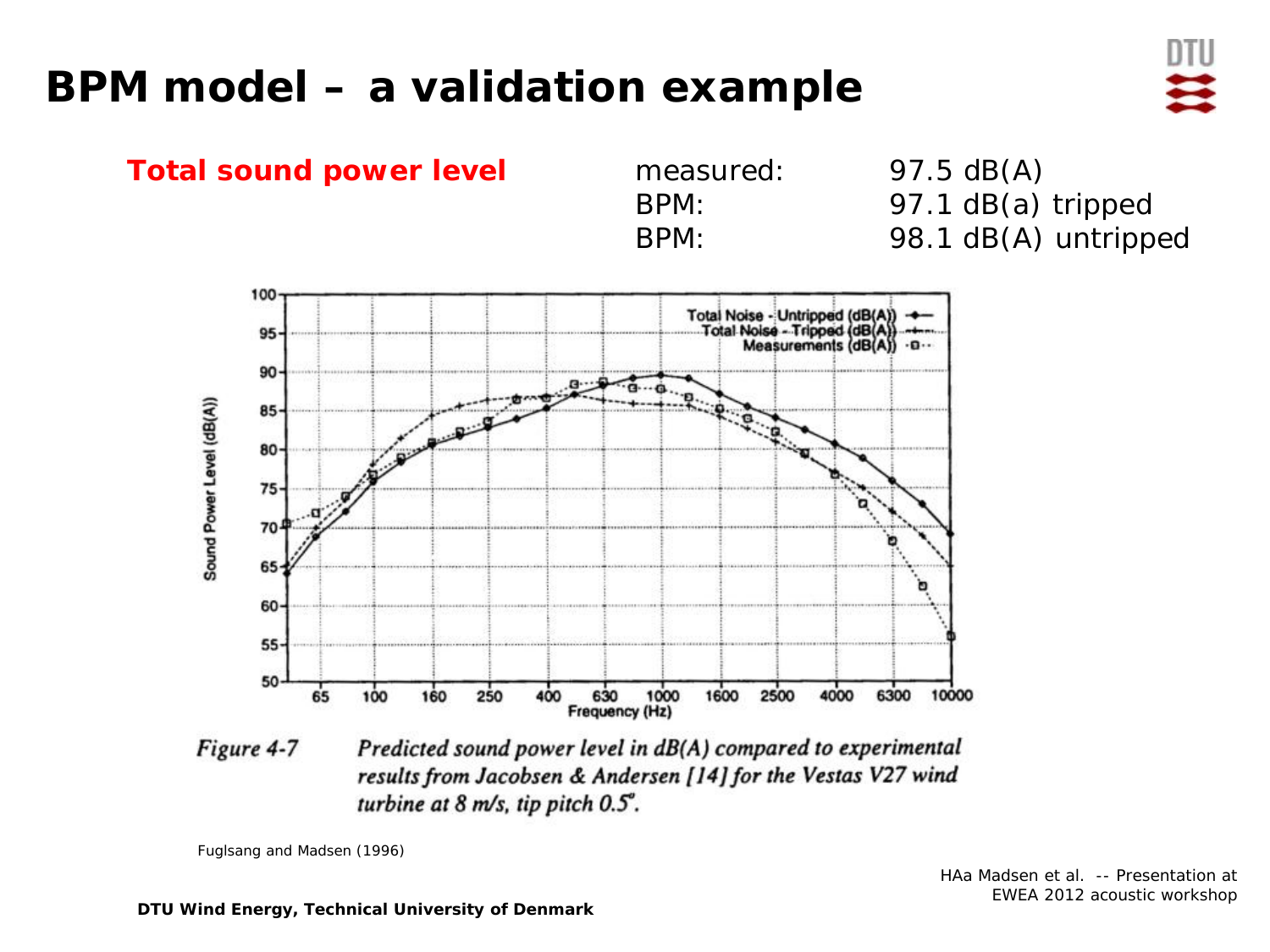## **BPM model – a validation example**



Figure 4-7 Predicted sound power level in dB(A) compared to experimental results from Jacobsen & Andersen [14] for the Vestas V27 wind turbine at  $8$  m/s, tip pitch  $0.5^\circ$ .

Fuglsang and Madsen (1996)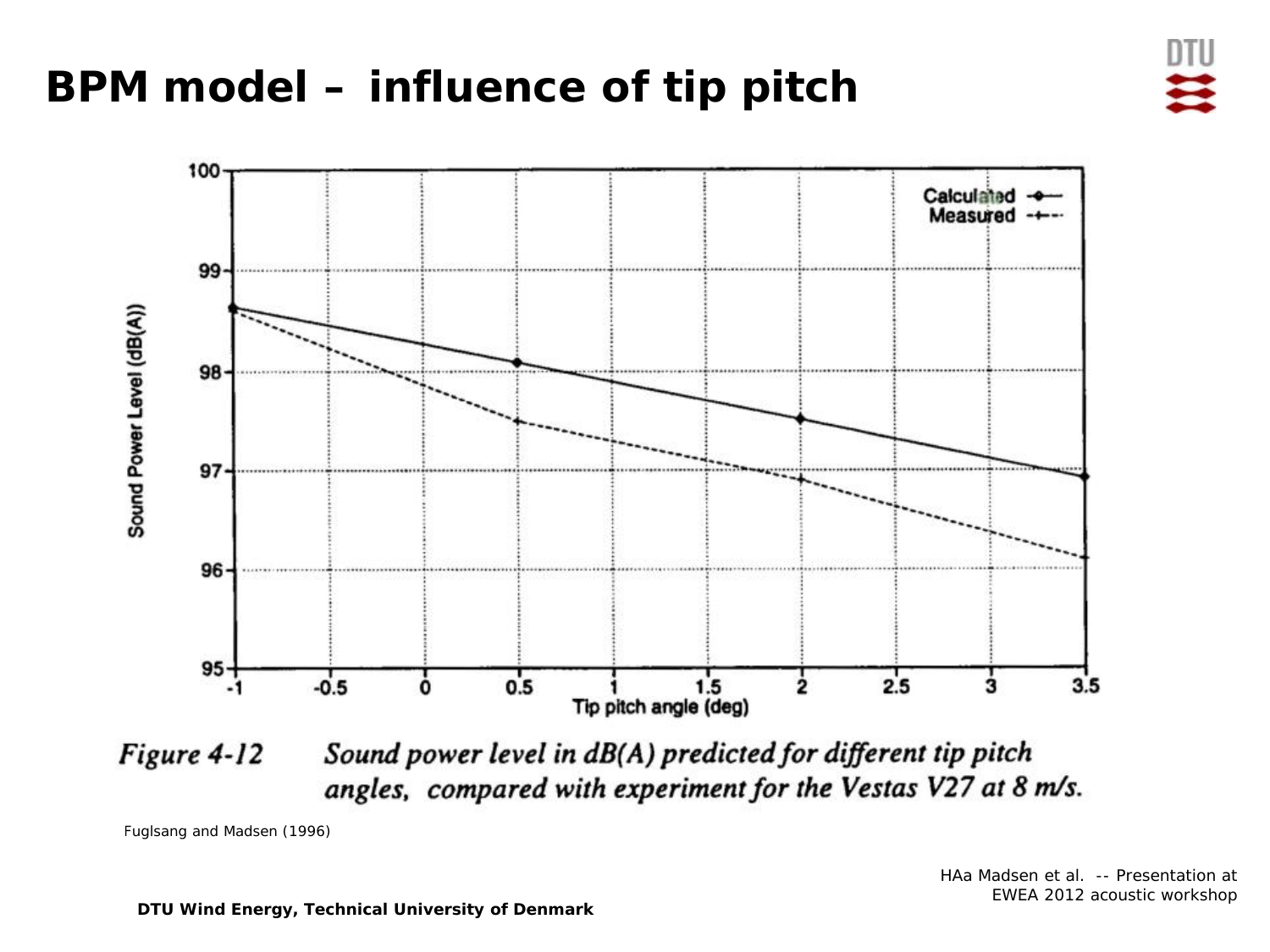## **BPM model – influence of tip pitch**



Sound power level in dB(A) predicted for different tip pitch Figure 4-12 angles, compared with experiment for the Vestas V27 at 8 m/s.

Fuglsang and Madsen (1996)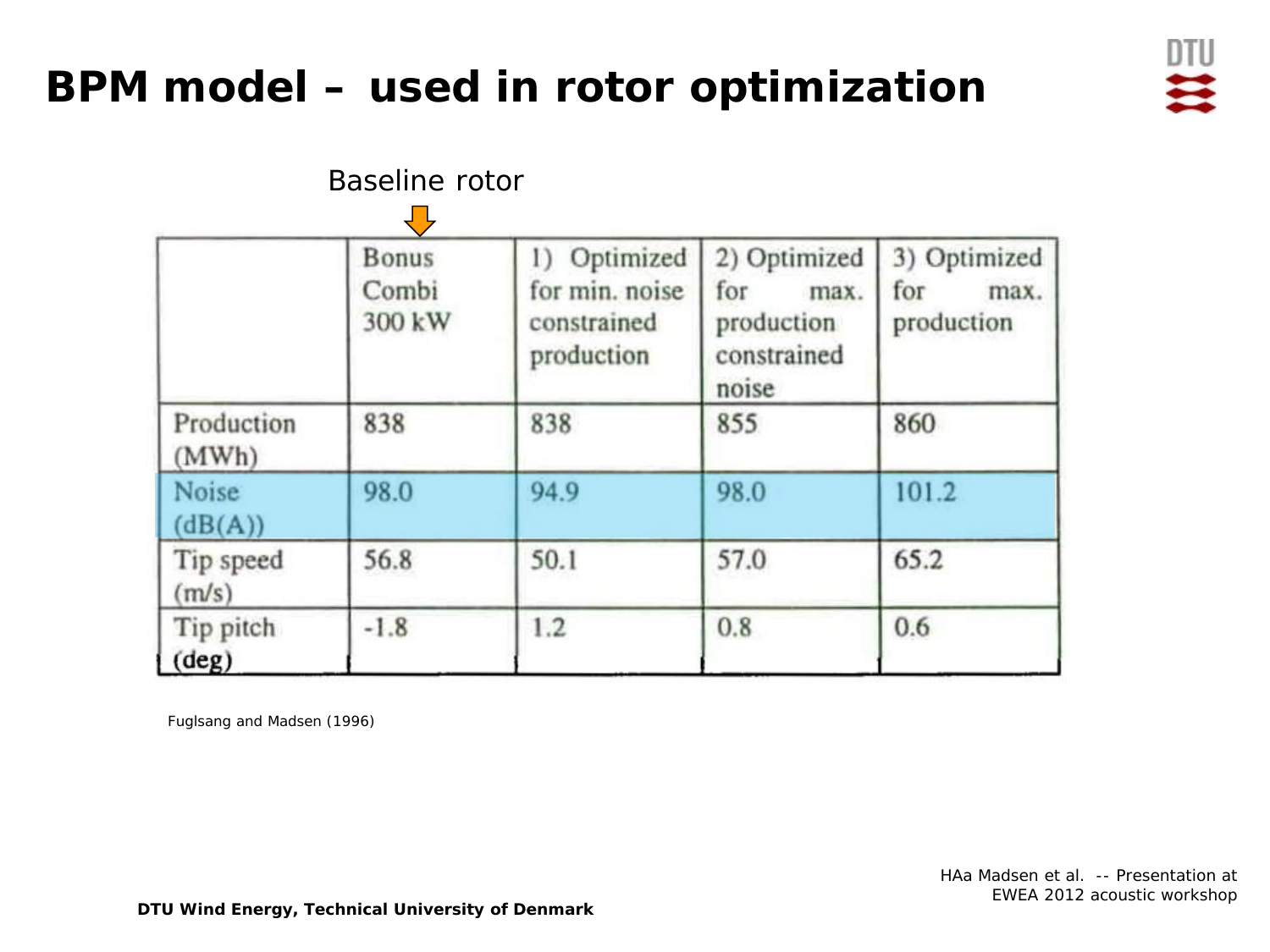## **BPM model – used in rotor optimization**



|                             | Baseline rotor                       |                                                             |                                                                   |                                           |  |
|-----------------------------|--------------------------------------|-------------------------------------------------------------|-------------------------------------------------------------------|-------------------------------------------|--|
|                             | し<br><b>Bonus</b><br>Combi<br>300 kW | 1) Optimized<br>for min. noise<br>constrained<br>production | 2) Optimized<br>for<br>max.<br>production<br>constrained<br>noise | 3) Optimized<br>for<br>max.<br>production |  |
| Production<br>(MWh)         | 838                                  | 838                                                         | 855                                                               | 860                                       |  |
| Noise<br>(dB(A))            | 98.0                                 | 94.9                                                        | 98.0                                                              | 101.2                                     |  |
| Tip speed<br>(m/s)          | 56.8                                 | 50.1                                                        | 57.0                                                              | 65.2                                      |  |
| Tip pitch<br>$(\text{deg})$ | $-1.8$                               | 1.2                                                         | 0.8                                                               | 0.6                                       |  |

Fuglsang and Madsen (1996)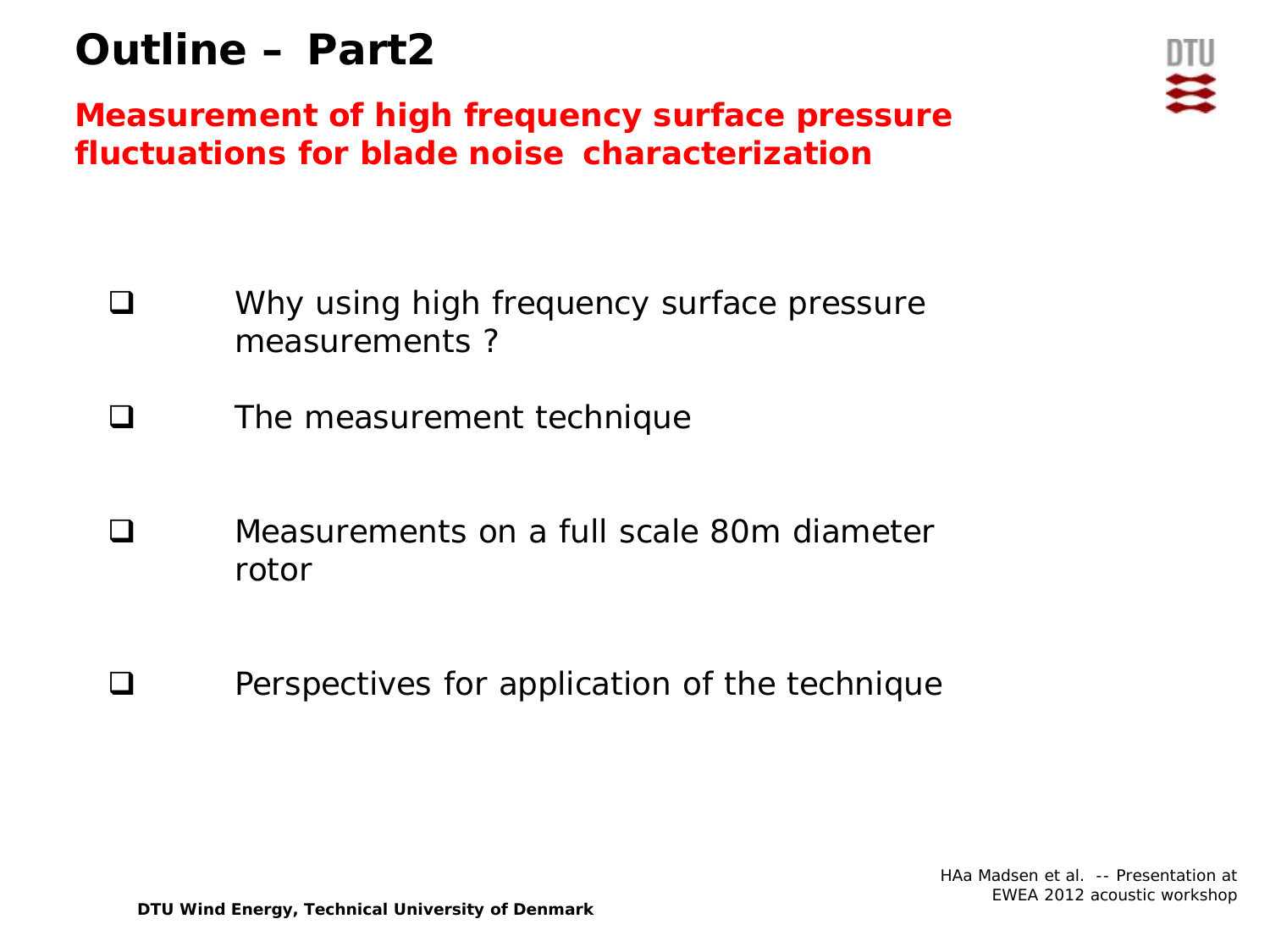## **Outline – Part2**

**Measurement of high frequency surface pressure fluctuations for blade noise characterization**

- **Q** Why using high frequency surface pressure measurements ?
- **Q** The measurement technique
- Measurements on a full scale 80m diameter rotor
- $\Box$  Perspectives for application of the technique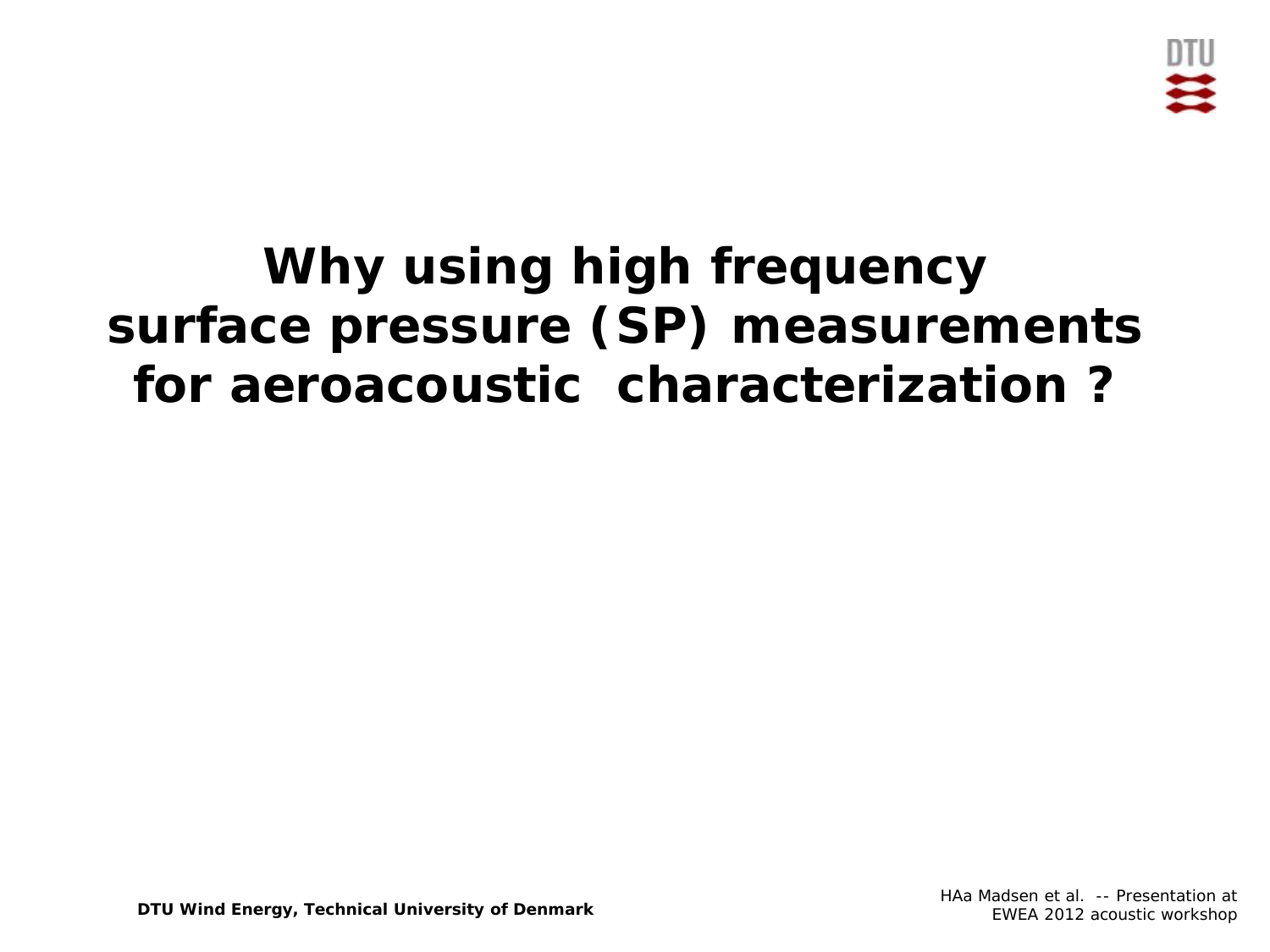

# **Why using high frequency surface pressure (SP) measurements for aeroacoustic characterization ?**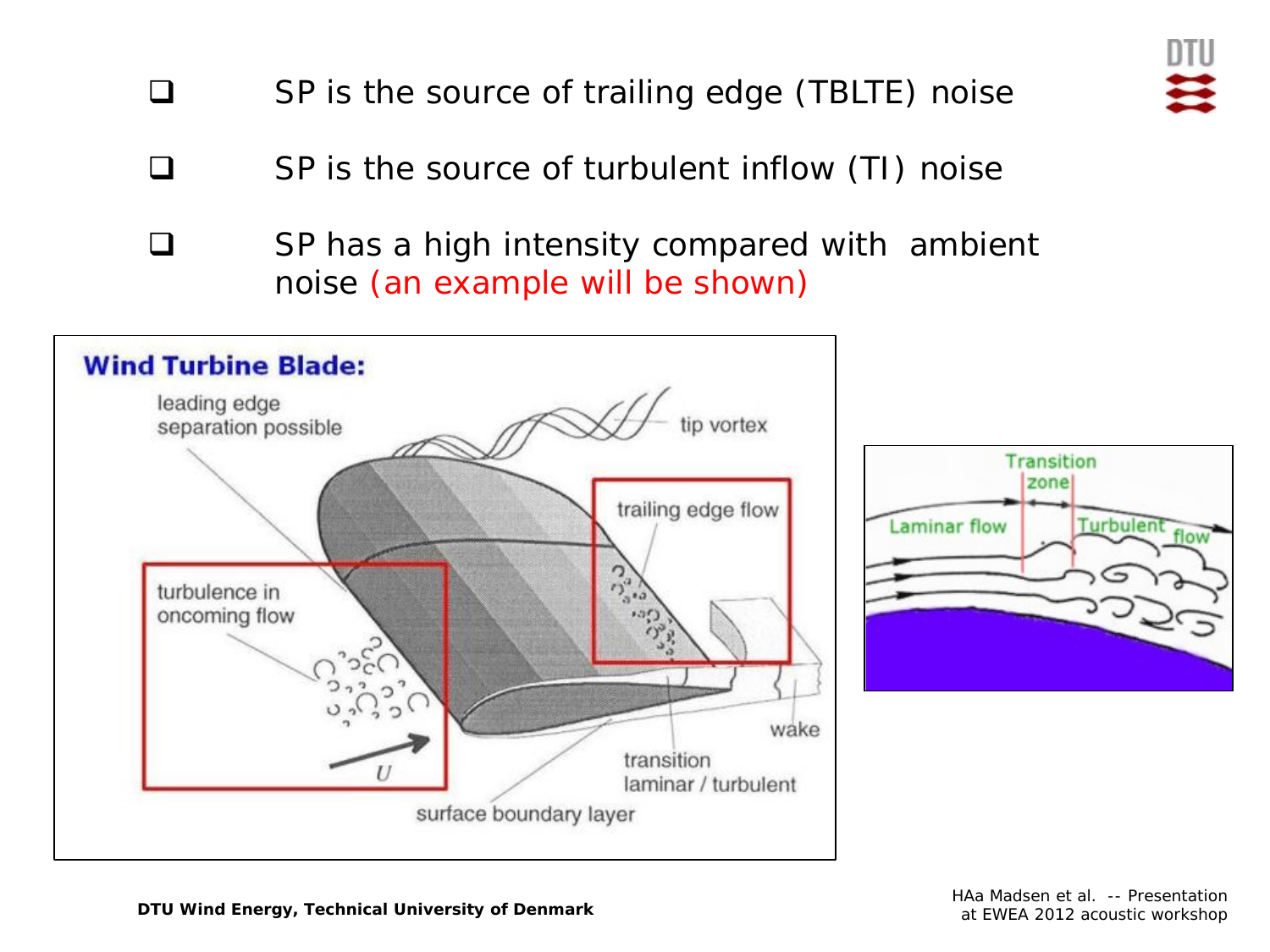- $\Box$  SP is the source of turbulent inflow (TI) noise
- □ SP has a high intensity compared with ambient noise (an example will be shown)



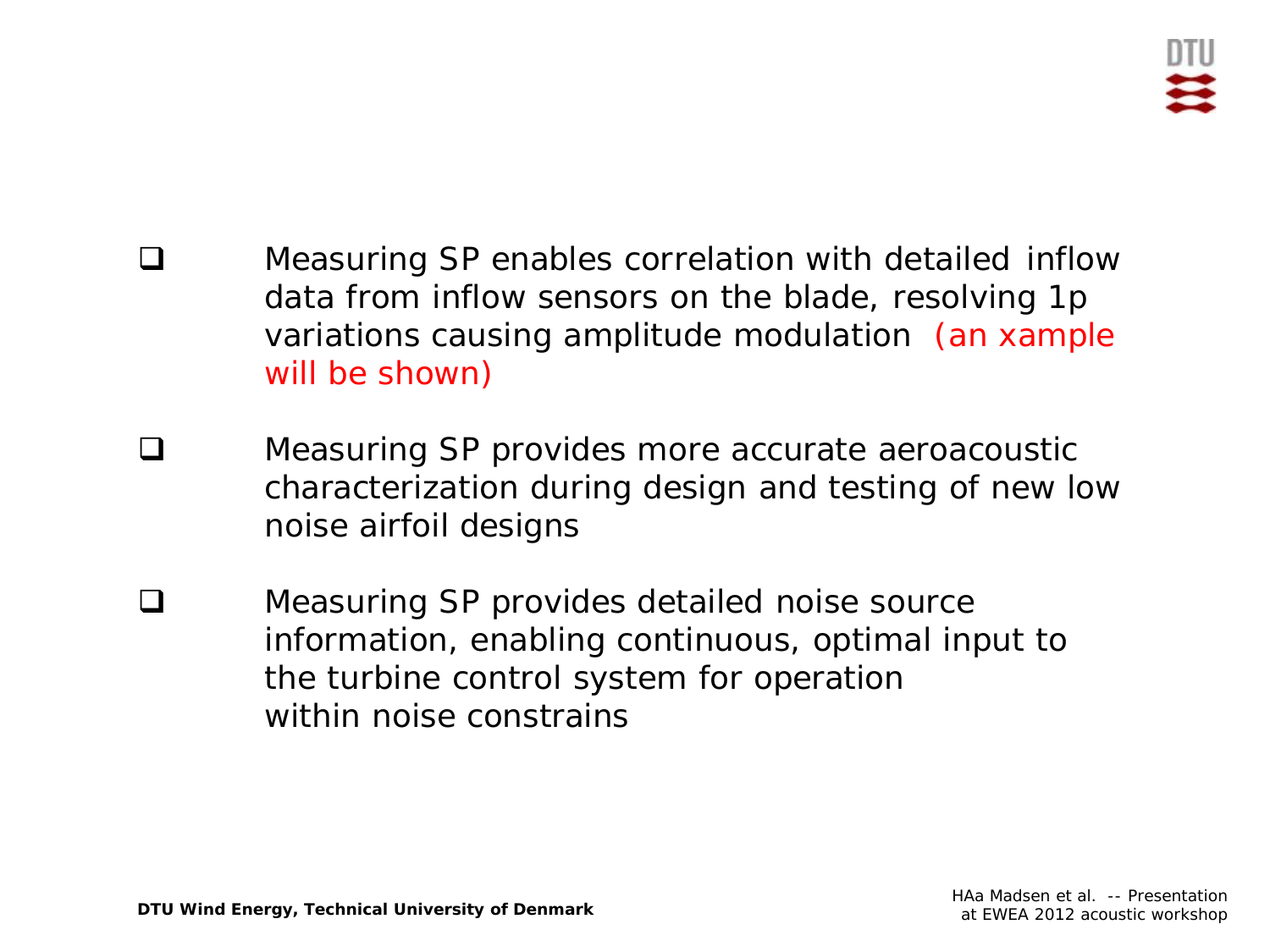- **Q** Measuring SP enables correlation with detailed inflow data from inflow sensors on the blade, resolving 1p variations causing amplitude modulation (an xample will be shown)
- **Q** Measuring SP provides more accurate aeroacoustic characterization during design and testing of new low noise airfoil designs
- **□** Measuring SP provides detailed noise source information, enabling continuous, optimal input to the turbine control system for operation within noise constrains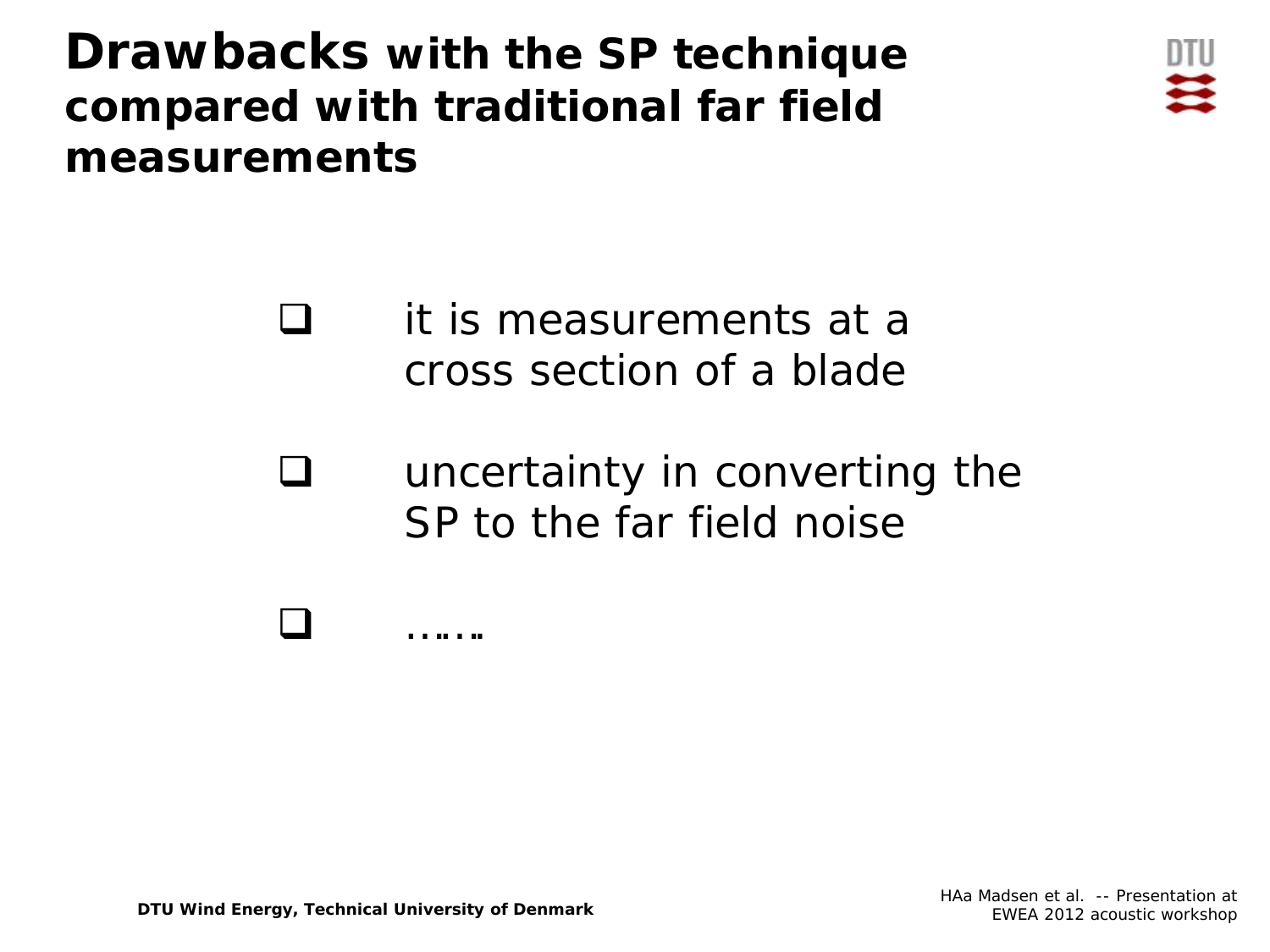**Drawbacks with the SP technique compared with traditional far field measurements**



 it is measurements at a cross section of a blade

 uncertainty in converting the SP to the far field noise



**DTU Wind Energy, Technical University of Denmark**

**□** ………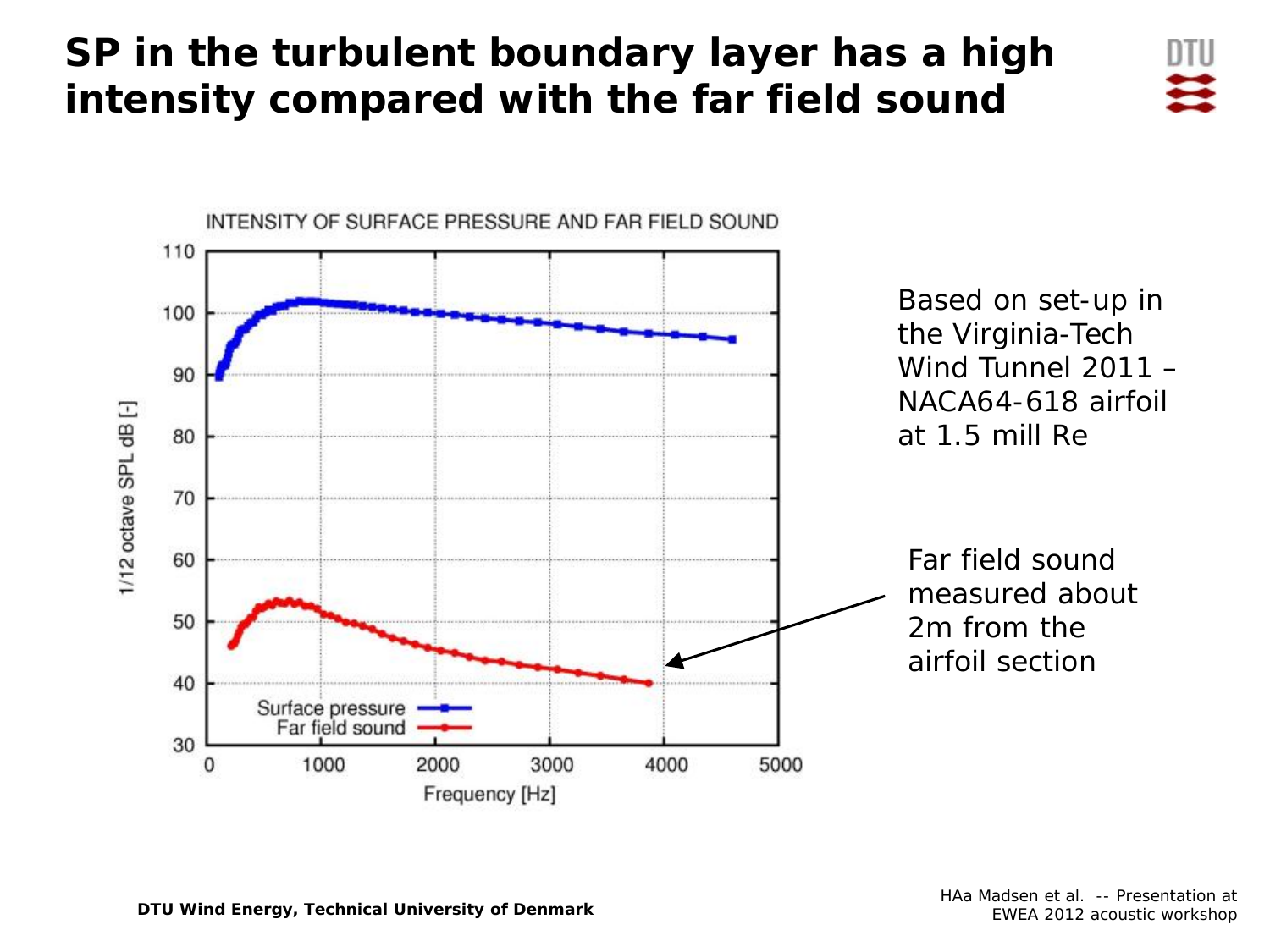### **SP in the turbulent boundary layer has a high intensity compared with the far field sound**



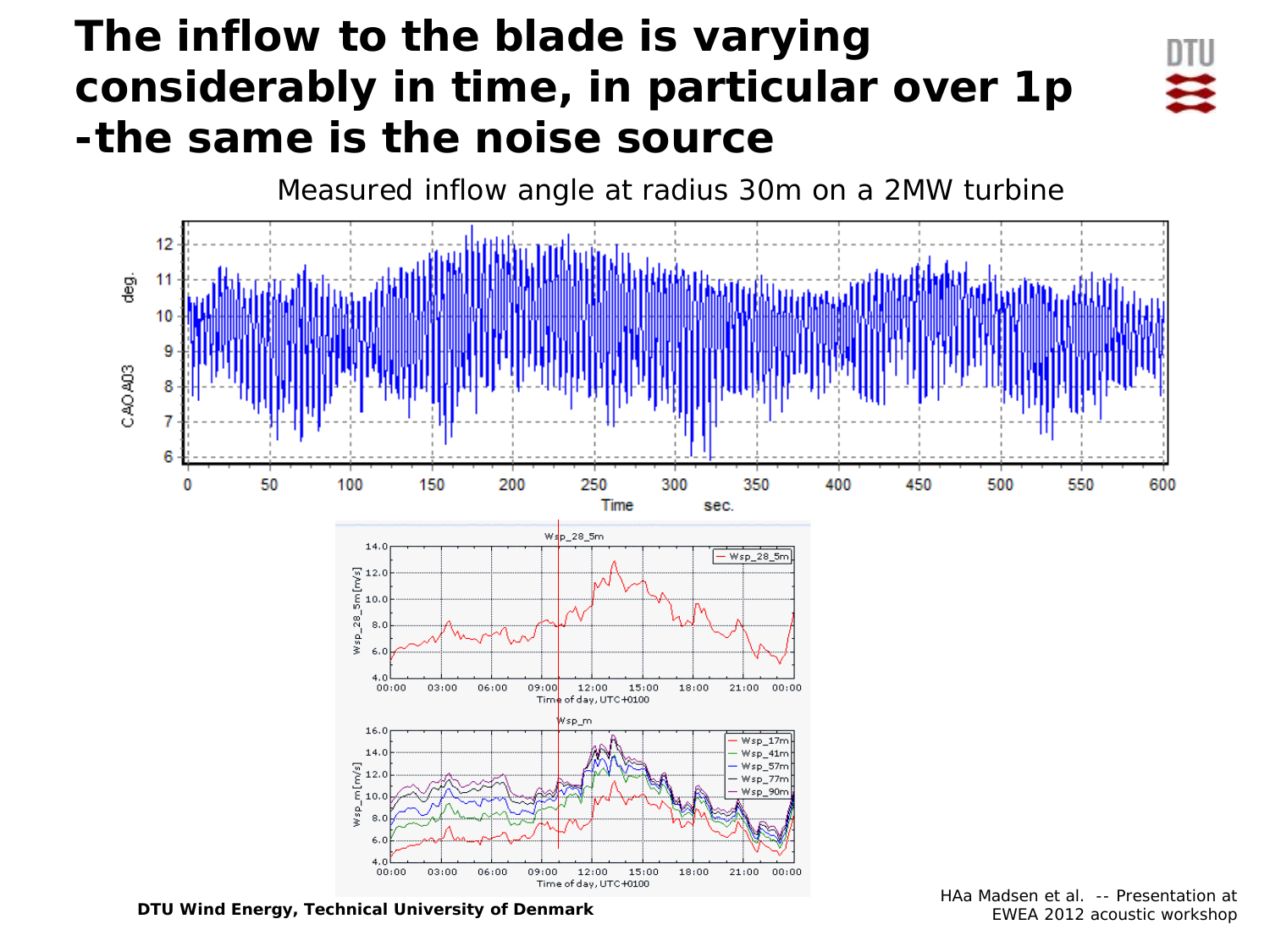## **The inflow to the blade is varying considerably in time, in particular over 1p -the same is the noise source**



Measured inflow angle at radius 30m on a 2MW turbine12 g.<br>B -11 10 CAO A03 6 250 300 50 100 150 200 350 400 450 500 550 600 0 Time sec. Wsp\_28\_5m  $14.0$ Wsp\_28\_5m  $\sum_{6}^{6} 12.0$ <br> $\sum_{10}^{6} 10.0$  $Nsp_228$ 8.  $00:00$  $03:00$  $06:00$  $12:00$  $00:00$ 09:00  $15:00$ 18:00  $21:00$ Time of day, UTC +0100 Wsp\_m  $16.0$ Wsp\_17n  $14.0$  $Wsp\_41rr$  $\sum_{i=1}^{10} 12.0$ Wsp\_57m Wsp\_77m Wsp\_90m 8.  $4.0$  $00:00$  $03:00$  $06:00$ 09:00  $12:00$  $15:00$ 18:00  $21:00$  $00:00$ Time of day, UTC +0100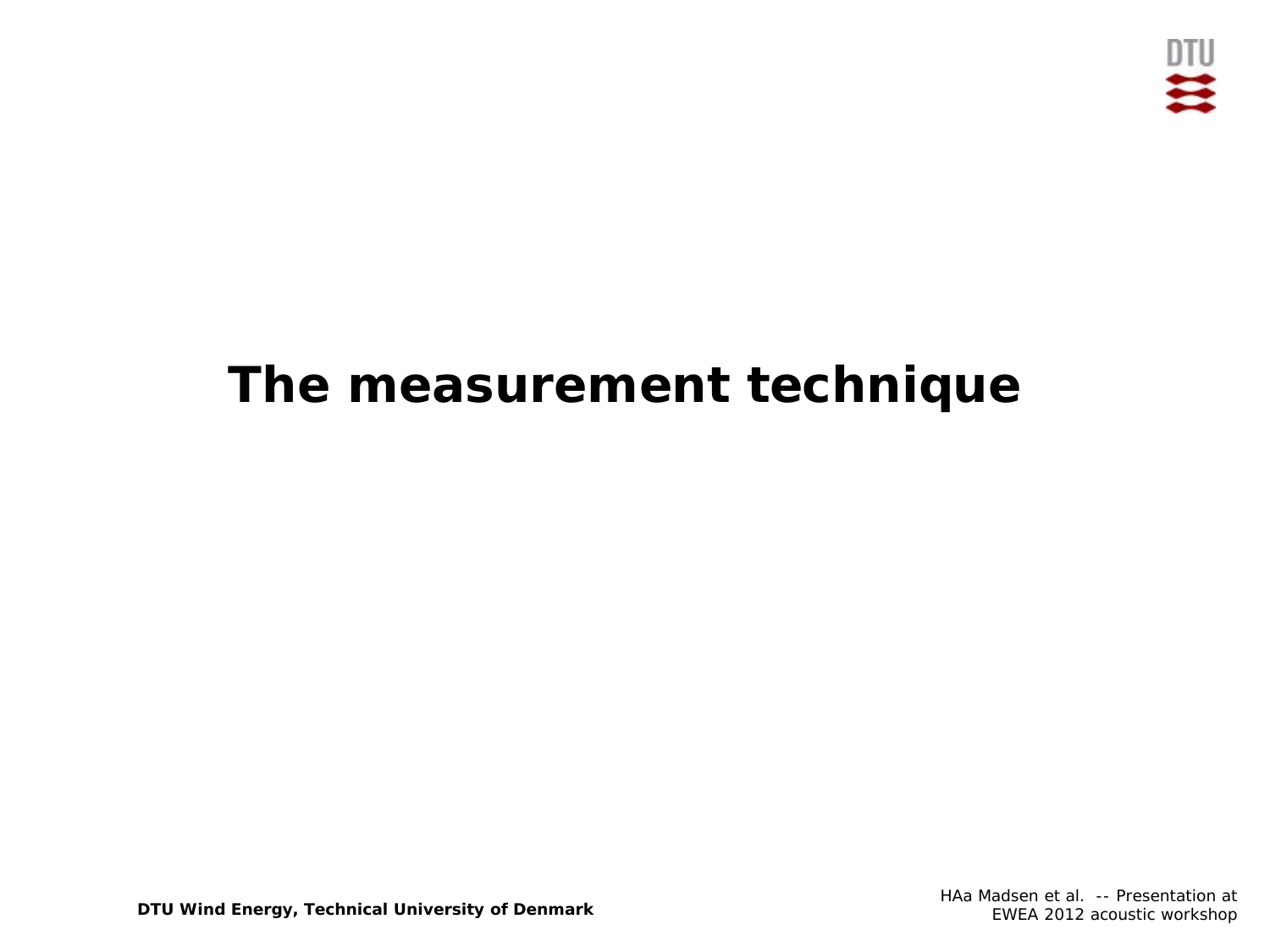

# **The measurement technique**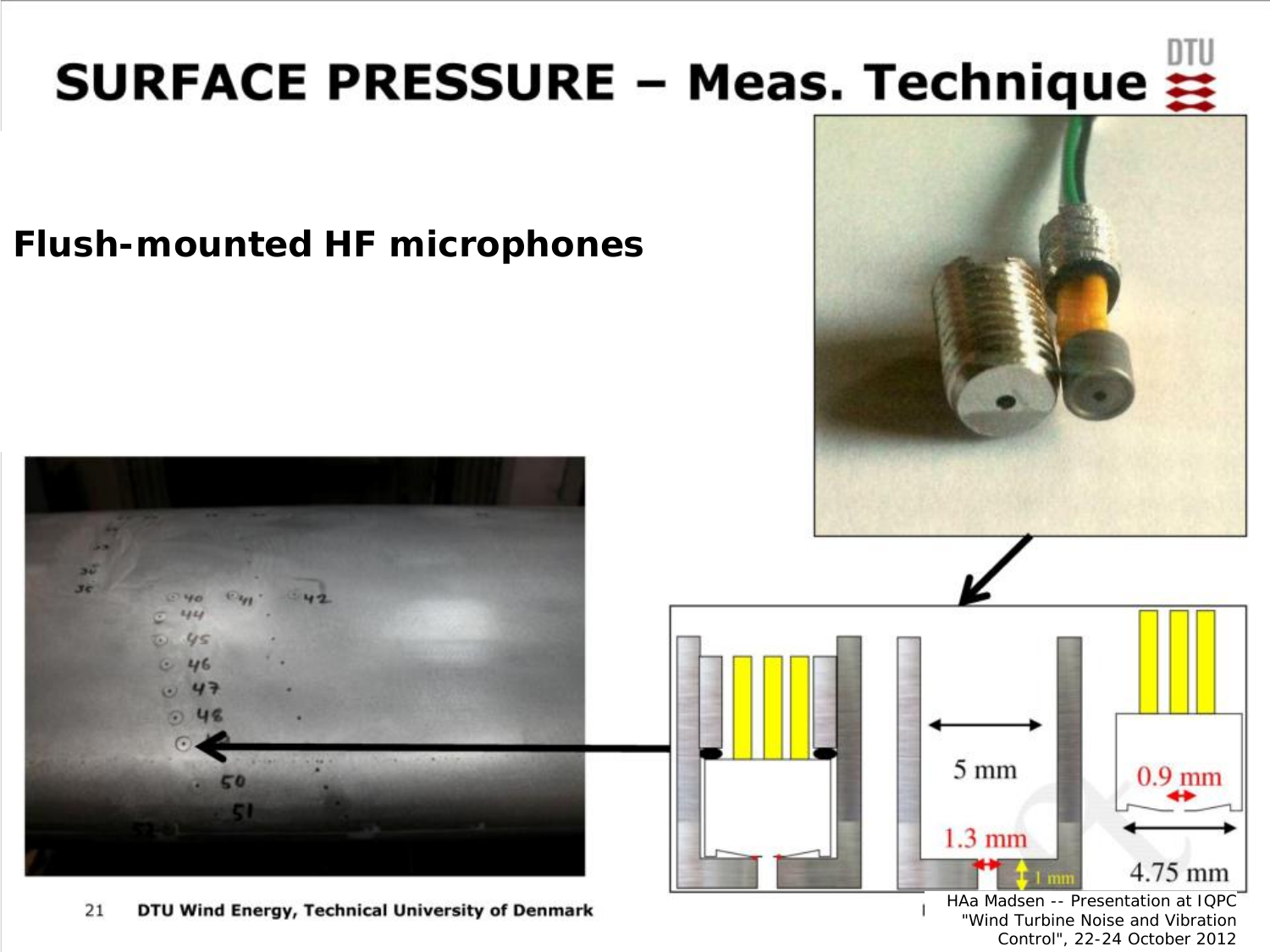# SURFACE PRESSURE - Meas. Technique  $\frac{1000}{22}$

#### **Flush-mounted HF microphones**







21 **DTU Wind Energy, Technical University of Denmark** HAa Madsen -- Presentation at IQPC "Wind Turbine Noise and Vibration Control", 22-24 October 2012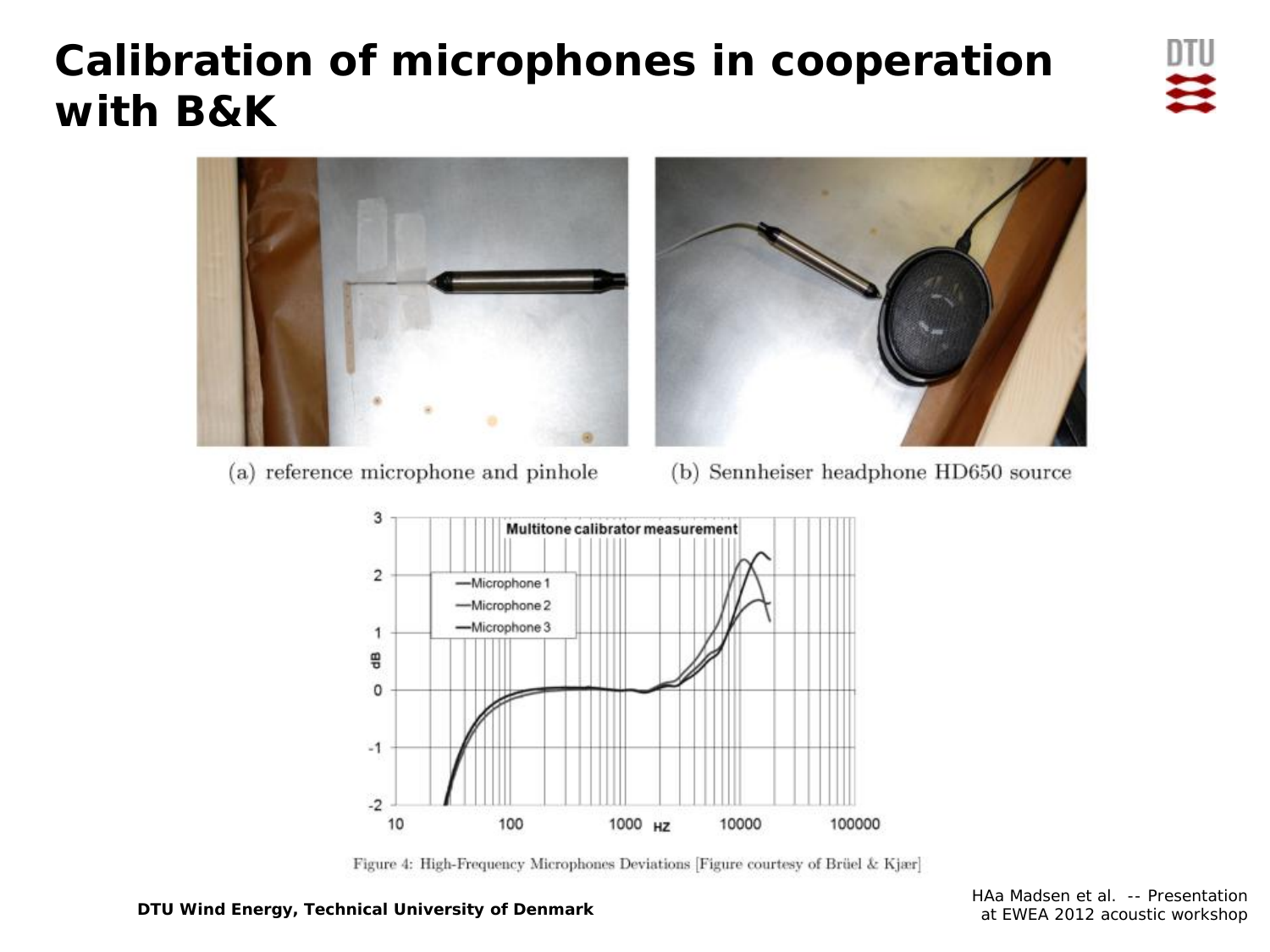## **Calibration of microphones in cooperation with B&K**





(a) reference microphone and pinhole

(b) Sennheiser headphone HD650 source



Figure 4: High-Frequency Microphones Deviations [Figure courtesy of Brüel & Kjær]

**DTU Wind Energy, Technical University of Denmark**

HAa Madsen et al. -- Presentation at EWEA 2012 acoustic workshop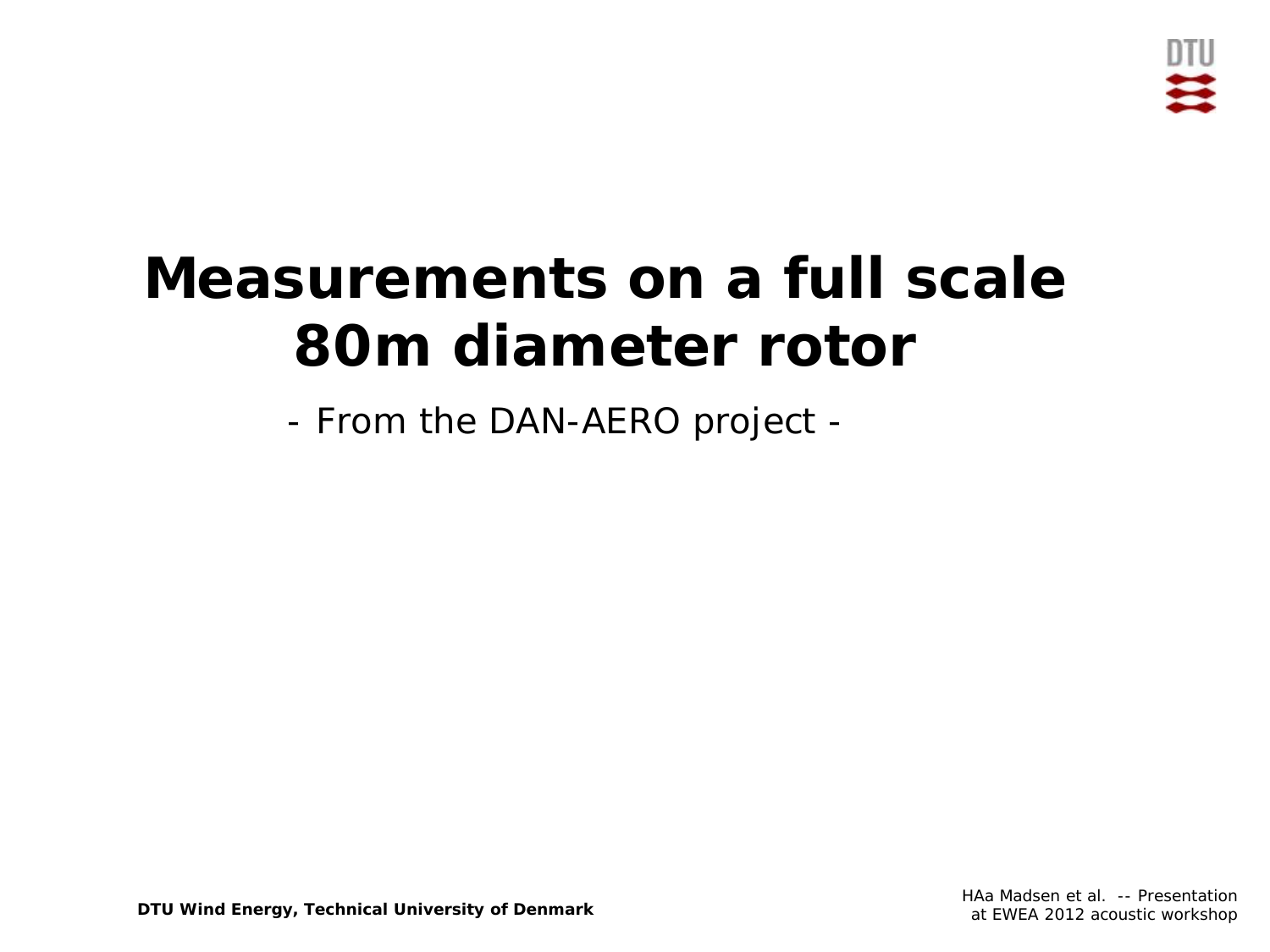

# **Measurements on a full scale 80m diameter rotor**

- From the DAN-AERO project -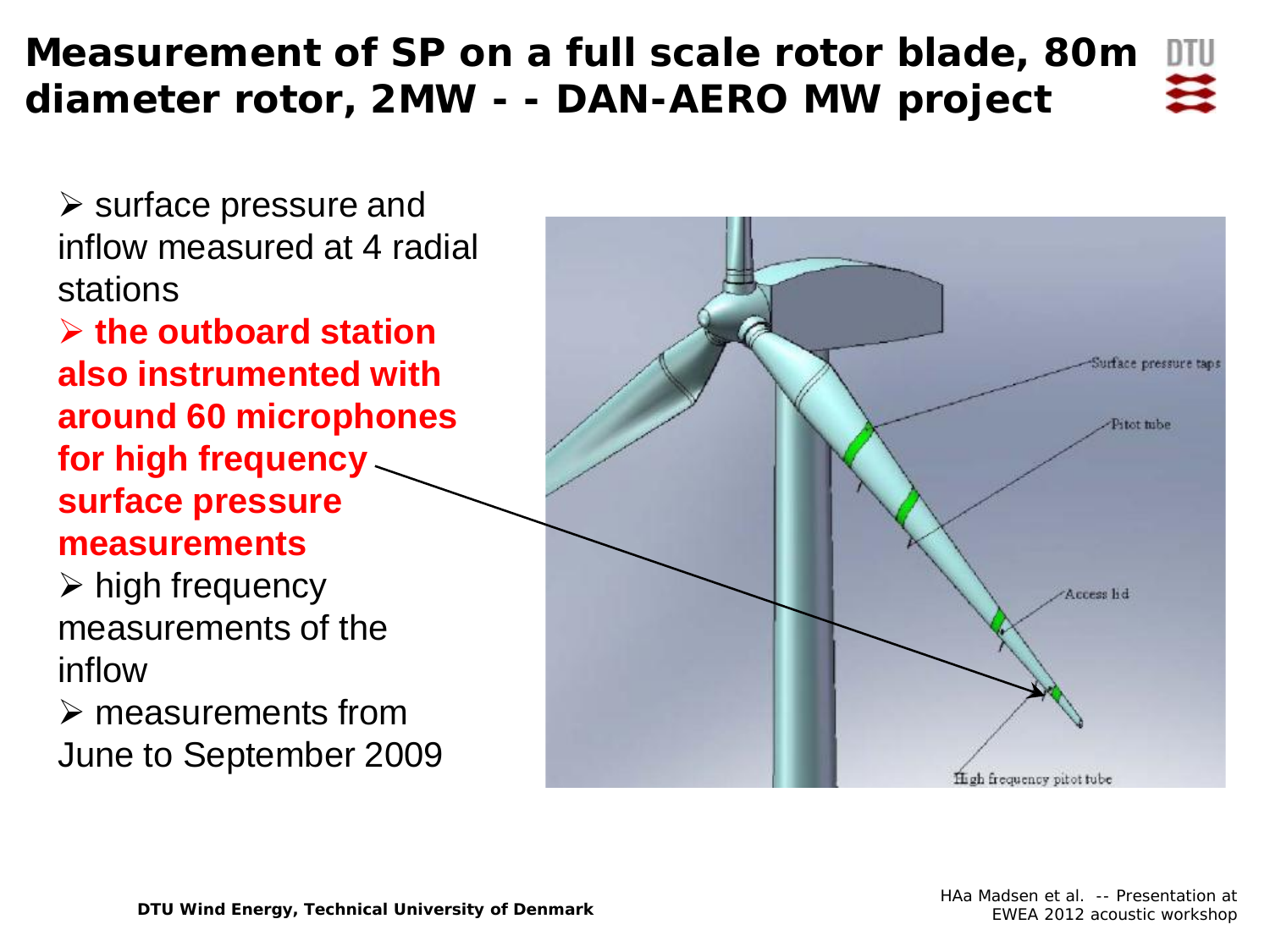#### **Measurement of SP on a full scale rotor blade, 80m**  DTU **diameter rotor, 2MW - - DAN-AERO MW project**

 $\triangleright$  surface pressure and inflow measured at 4 radial stations

 **the outboard station also instrumented with around 60 microphones for high frequency surface pressure measurements**

 $\triangleright$  high frequency measurements of the inflow

 measurements from June to September 2009

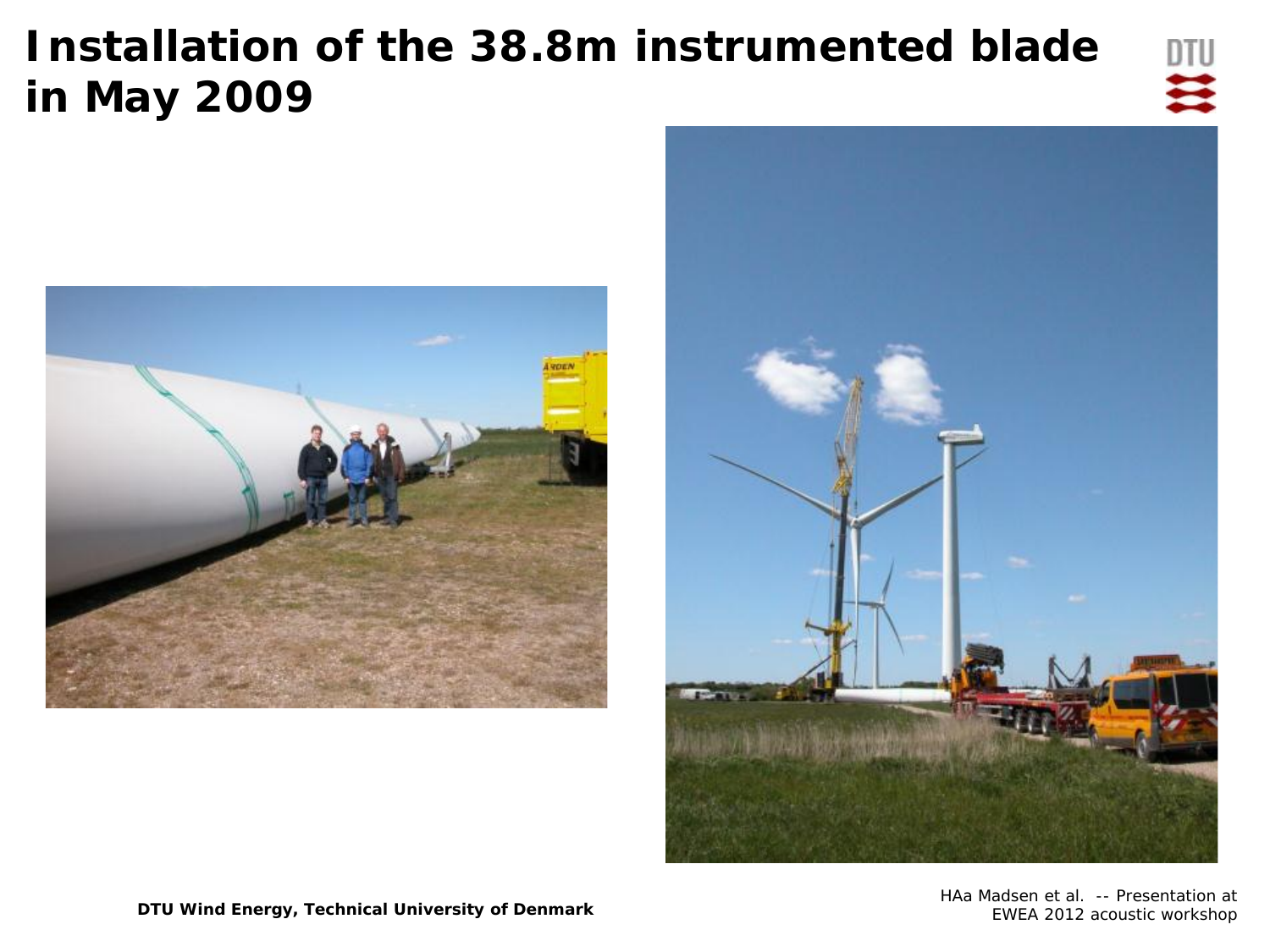## **Installation of the 38.8m instrumented blade in May 2009**







HAa Madsen et al. -- Presentation at EWEA 2012 acoustic workshop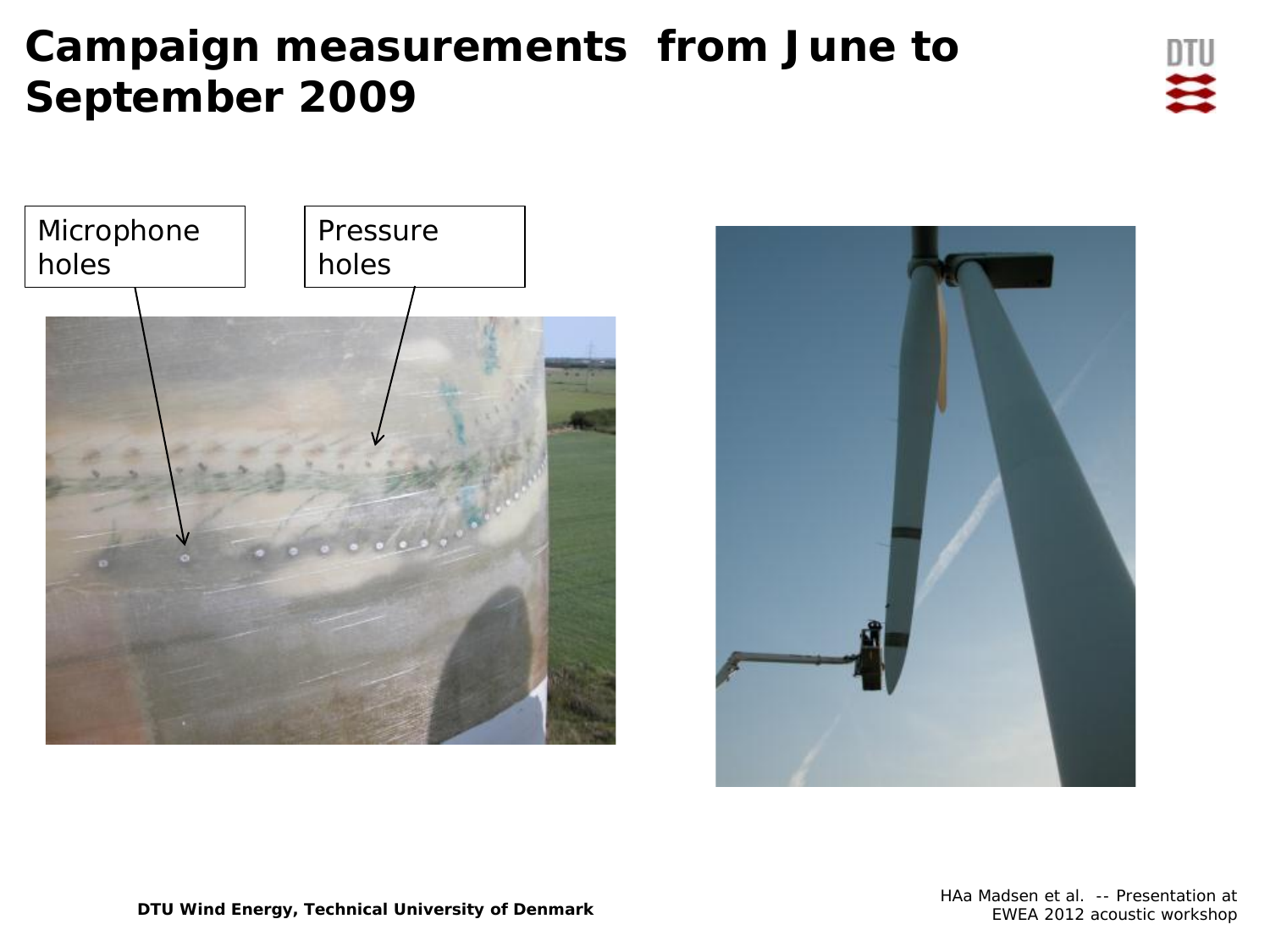## **Campaign measurements from June to September 2009**





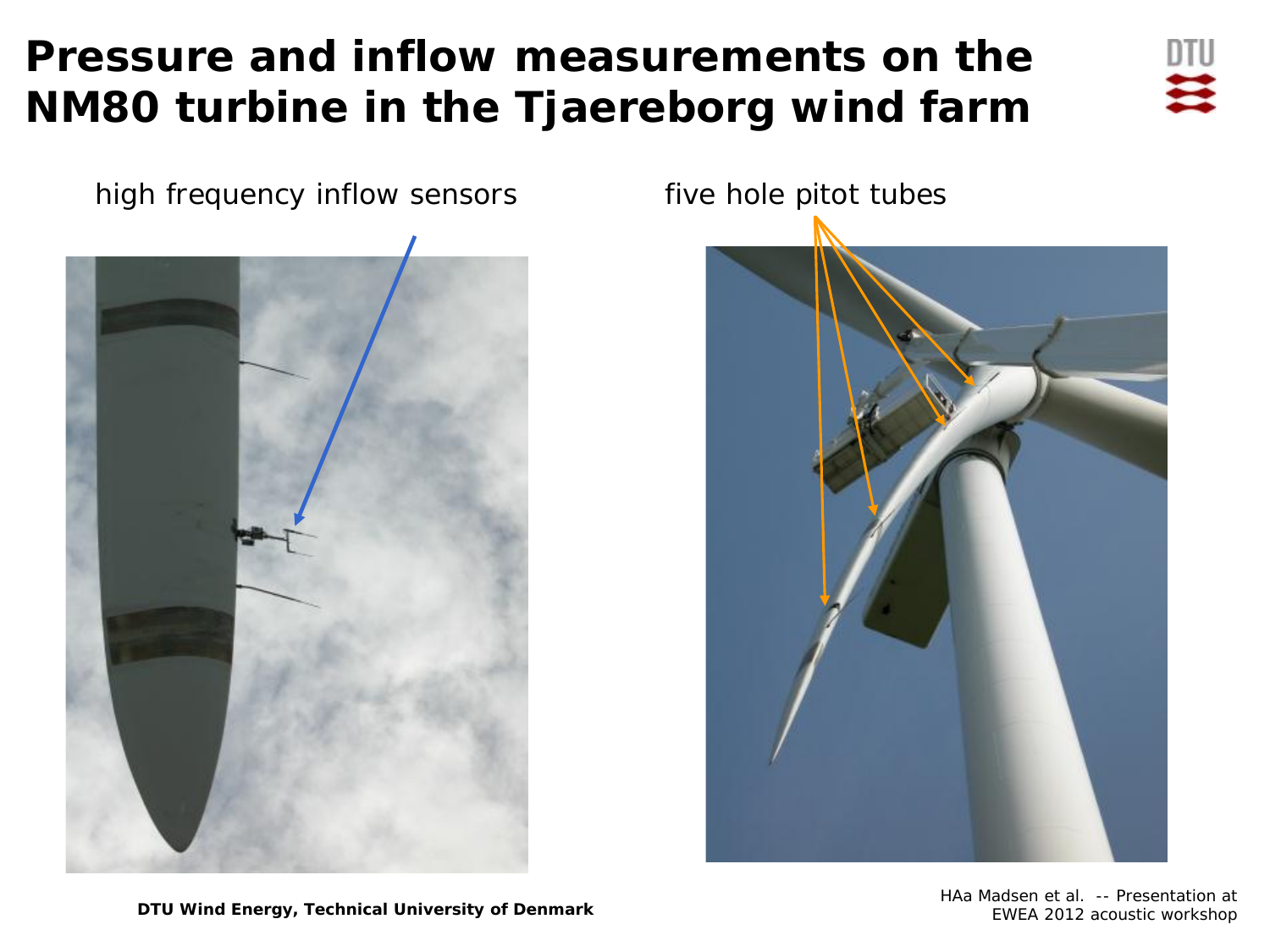## **Pressure and inflow measurements on the NM80 turbine in the Tjaereborg wind farm**



high frequency inflow sensors five hole pitot tubes





HAa Madsen et al. -- Presentation at EWEA 2012 acoustic workshop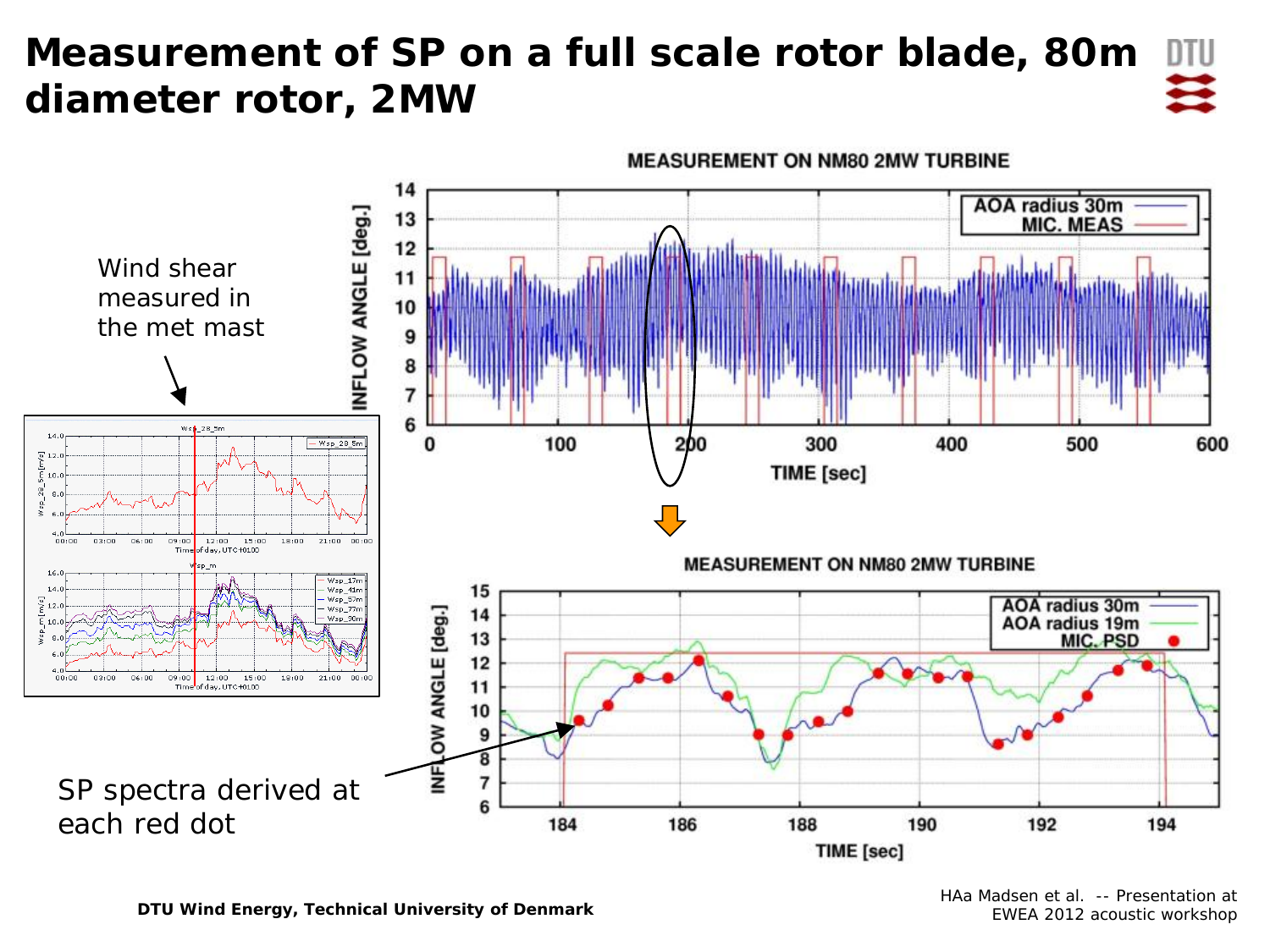#### **Measurement of SP on a full scale rotor blade, 80m diameter rotor, 2MW**



**DTU Wind Energy, Technical University of Denmark**

HAa Madsen et al. -- Presentation at EWEA 2012 acoustic workshop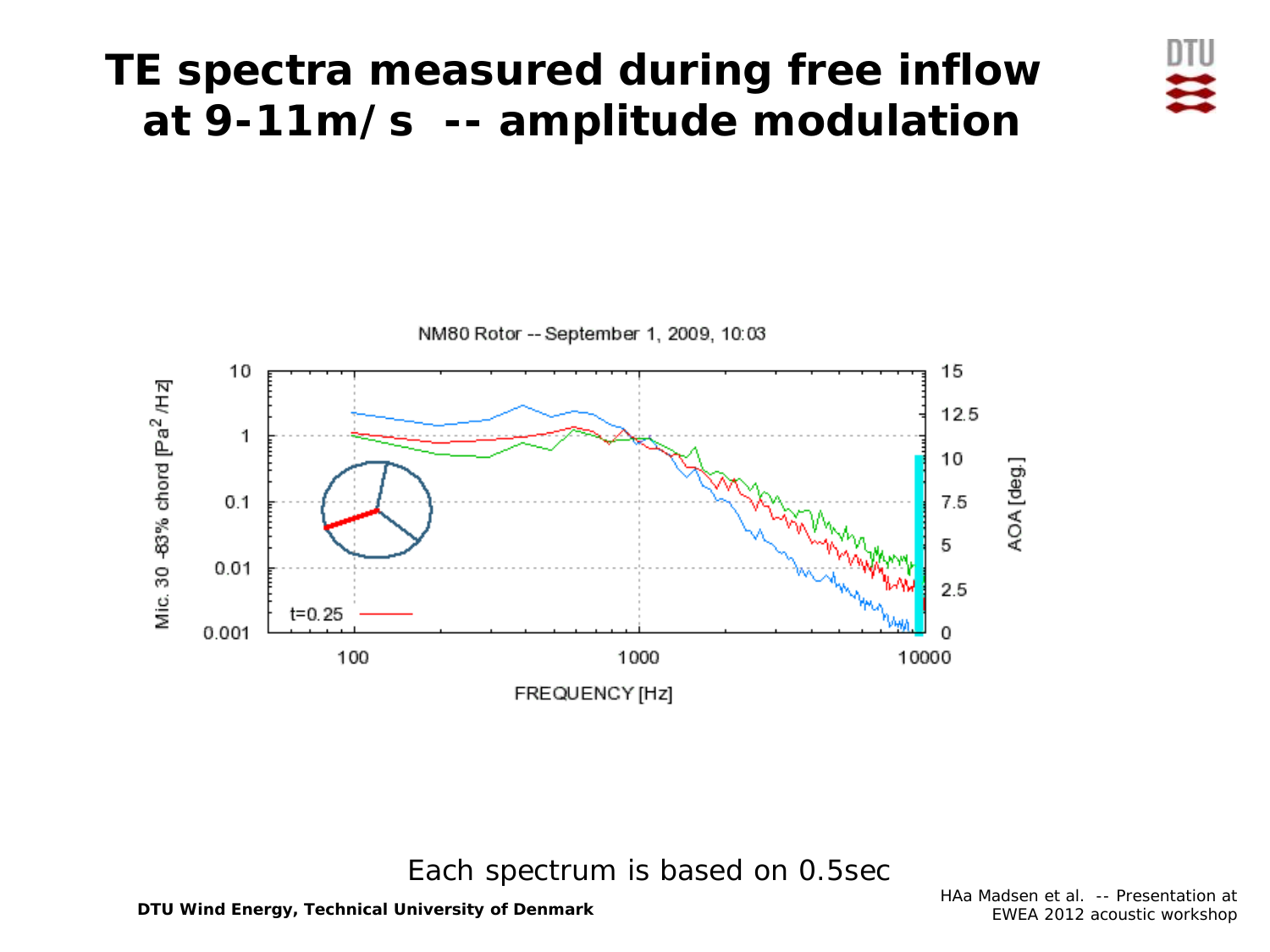### **TE spectra measured during free inflow at 9-11m/s -- amplitude modulation**





#### Each spectrum is based on 0.5sec

HAa Madsen et al. -- Presentation at EWEA 2012 acoustic workshop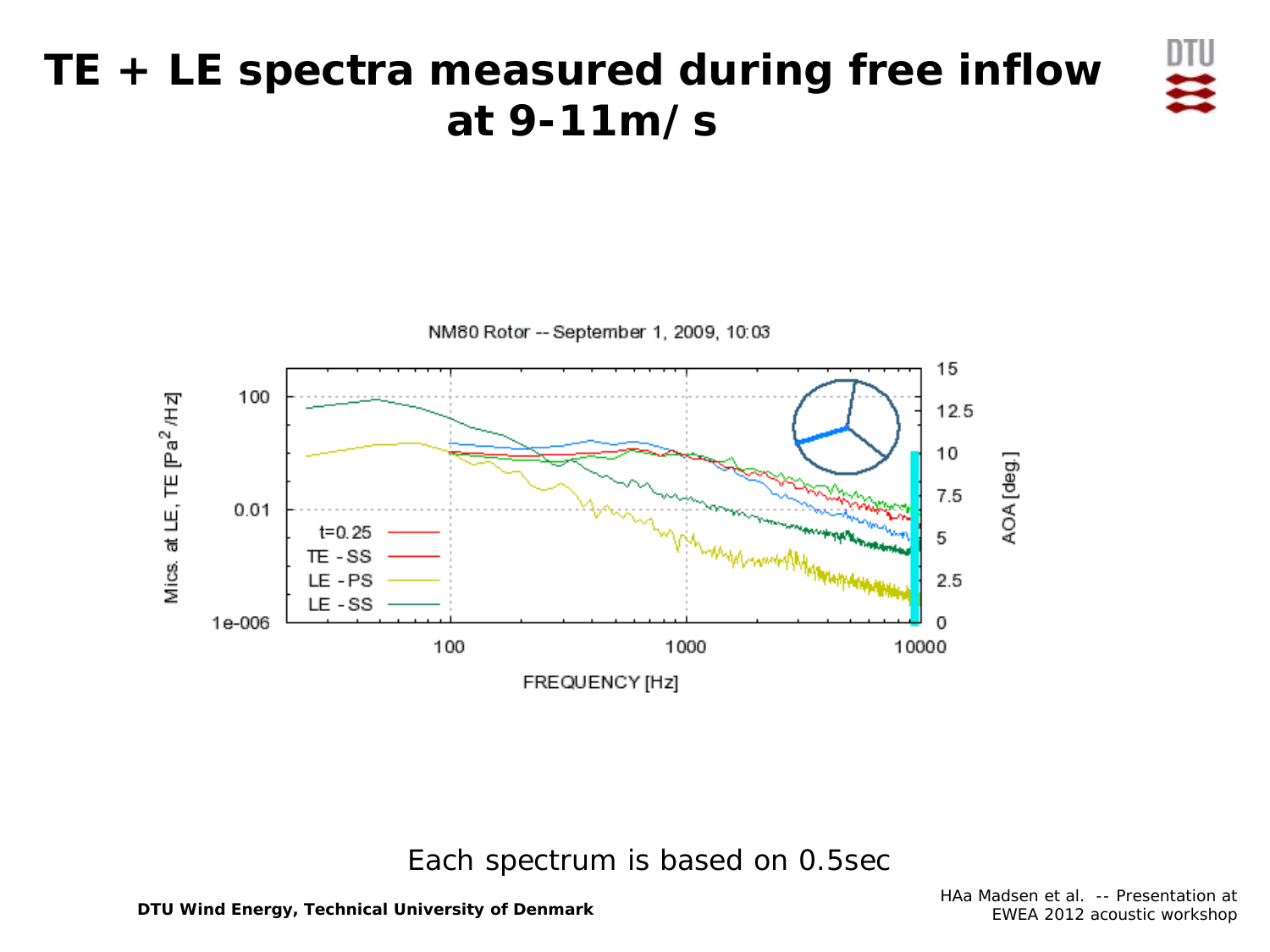### **TE + LE spectra measured during free inflow at 9-11m/s**



#### Each spectrum is based on 0.5sec

HAa Madsen et al. -- Presentation at EWEA 2012 acoustic workshop

叩号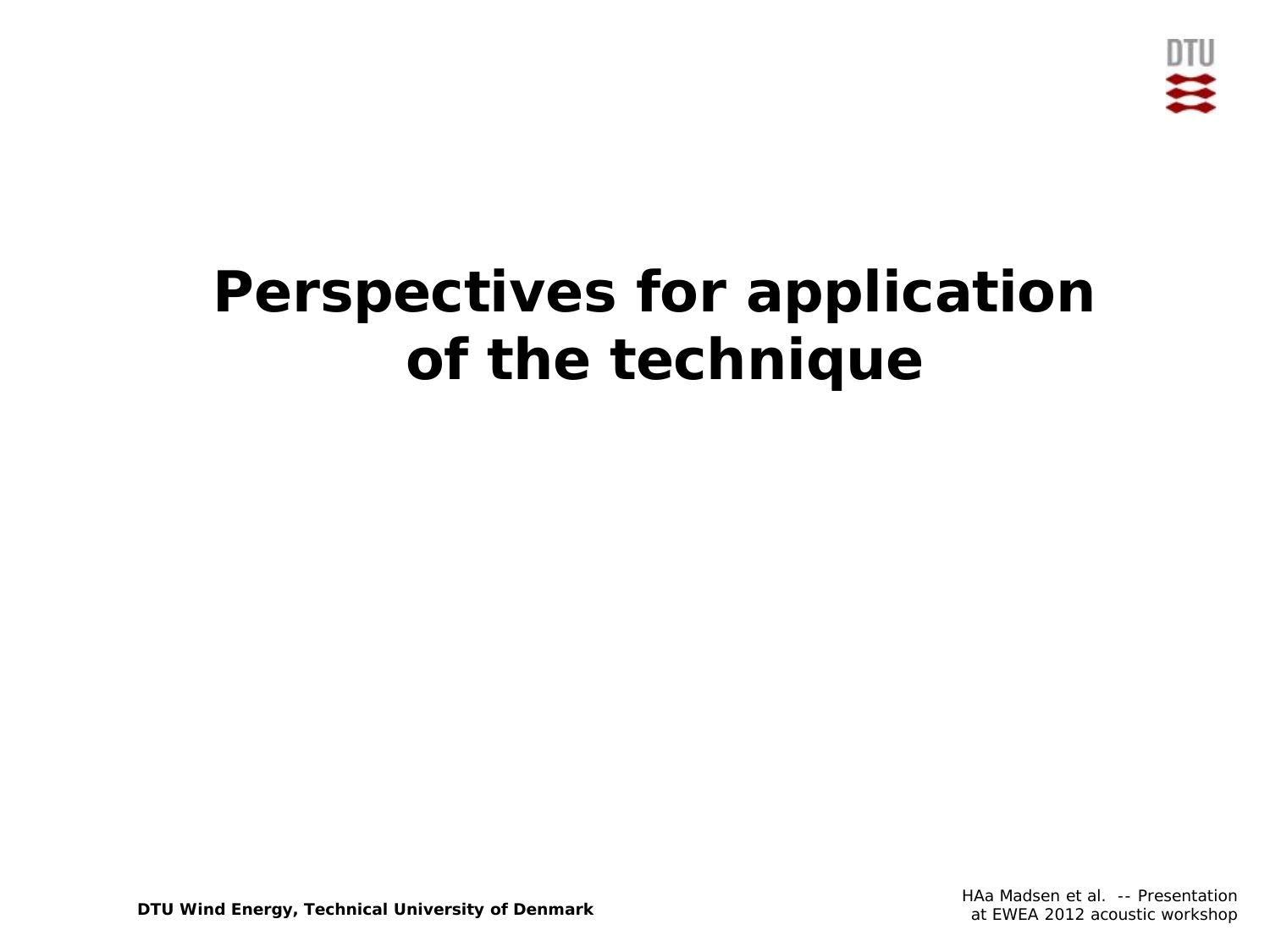

# **Perspectives for application of the technique**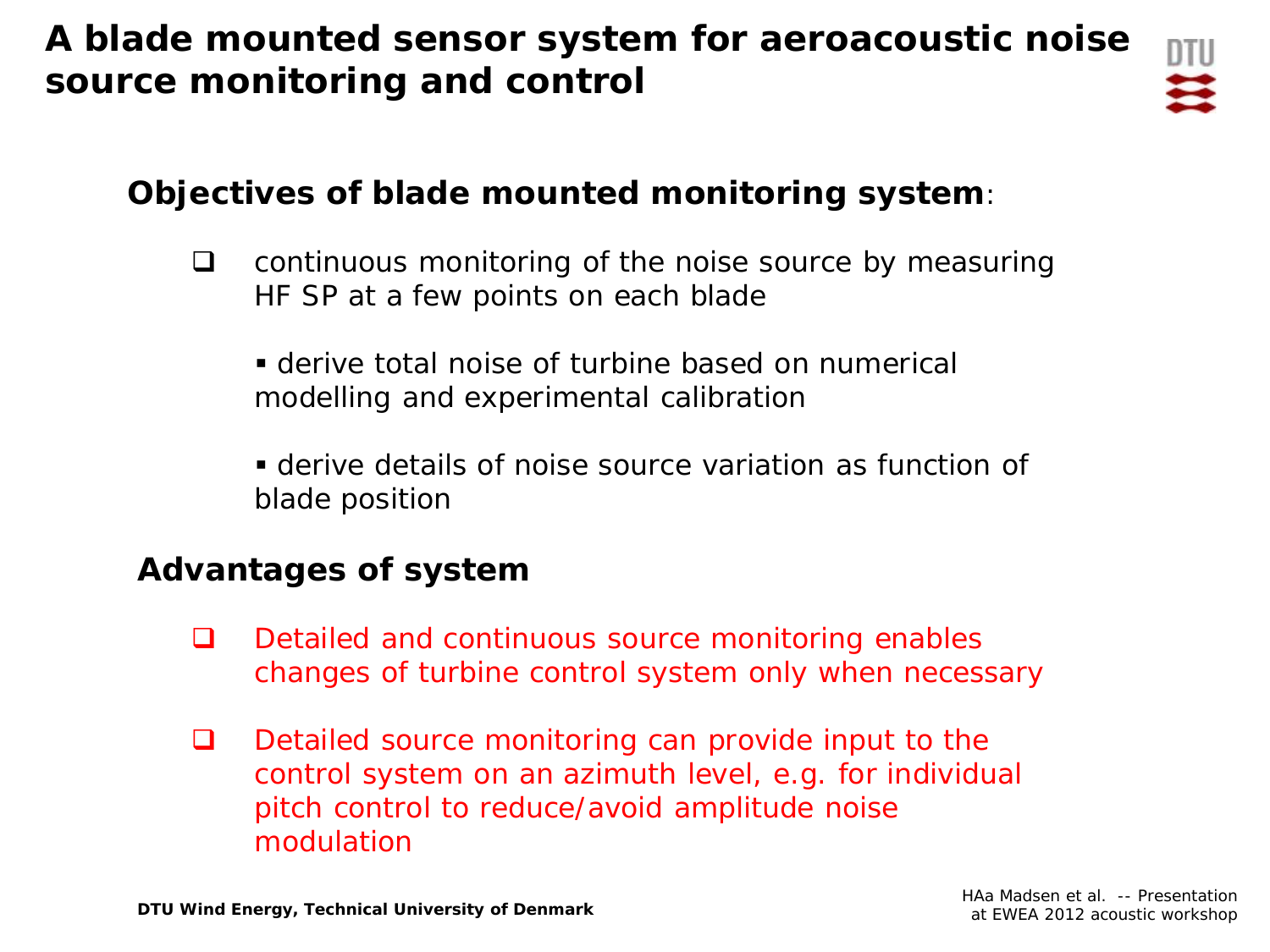#### **A blade mounted sensor system for aeroacoustic noise source monitoring and control**



#### **Objectives of blade mounted monitoring system**:

- $\Box$  continuous monitoring of the noise source by measuring HF SP at a few points on each blade
	- derive total noise of turbine based on numerical modelling and experimental calibration
	- derive details of noise source variation as function of blade position

#### **Advantages of system**

- $\Box$  Detailed and continuous source monitoring enables changes of turbine control system only when necessary
- $\Box$  Detailed source monitoring can provide input to the control system on an azimuth level, e.g. for individual pitch control to reduce/avoid amplitude noise modulation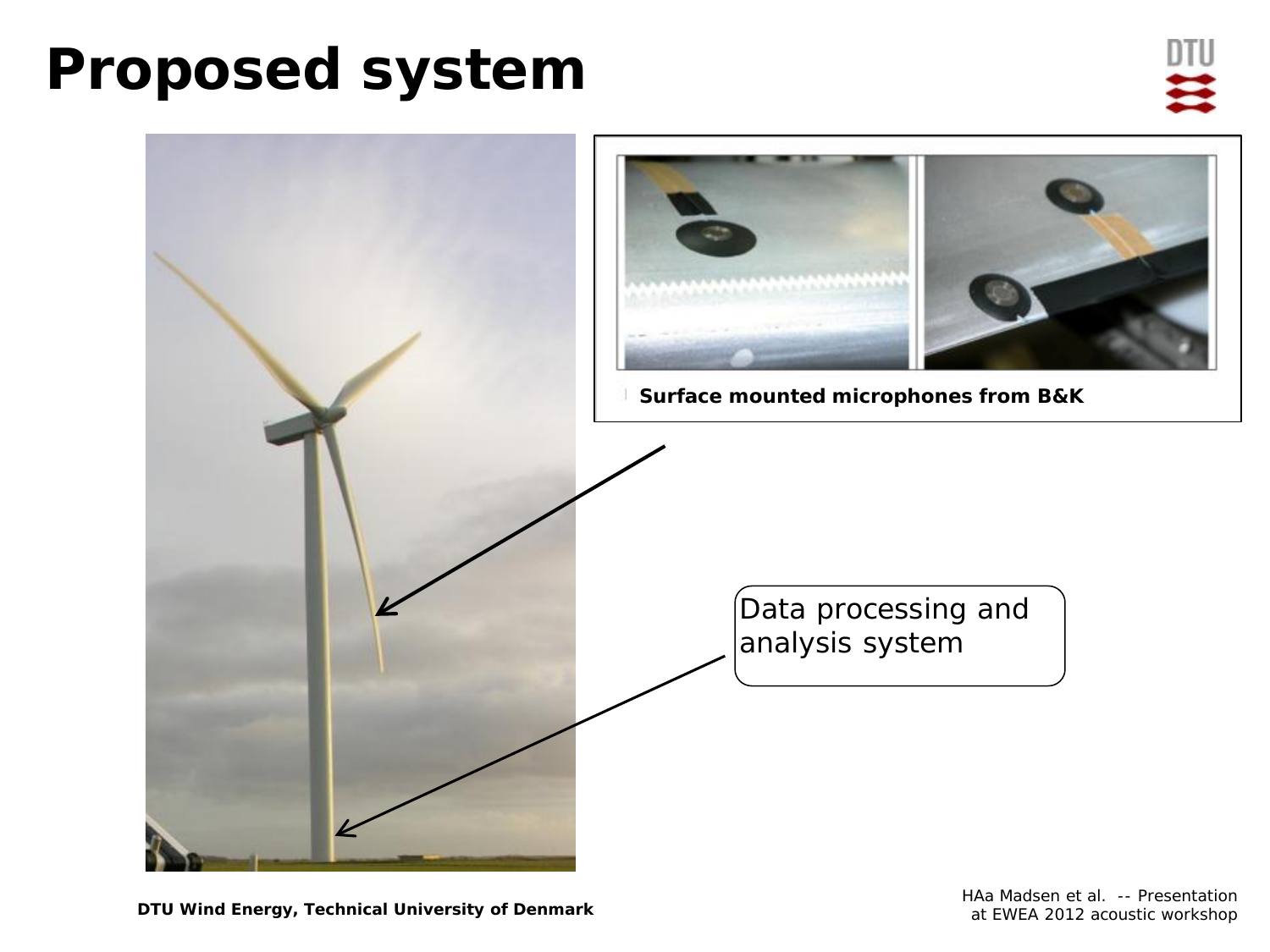# **Proposed system**



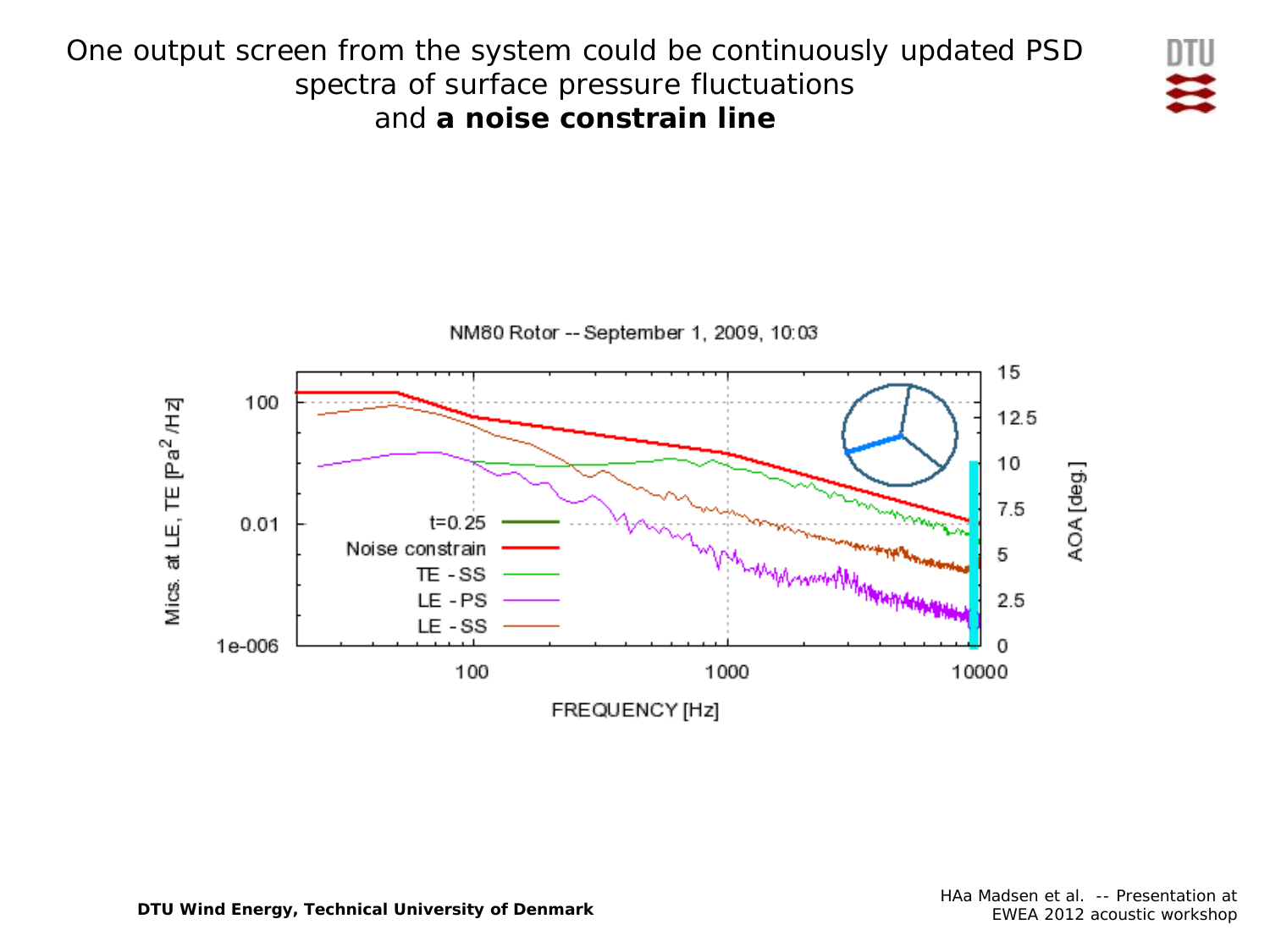

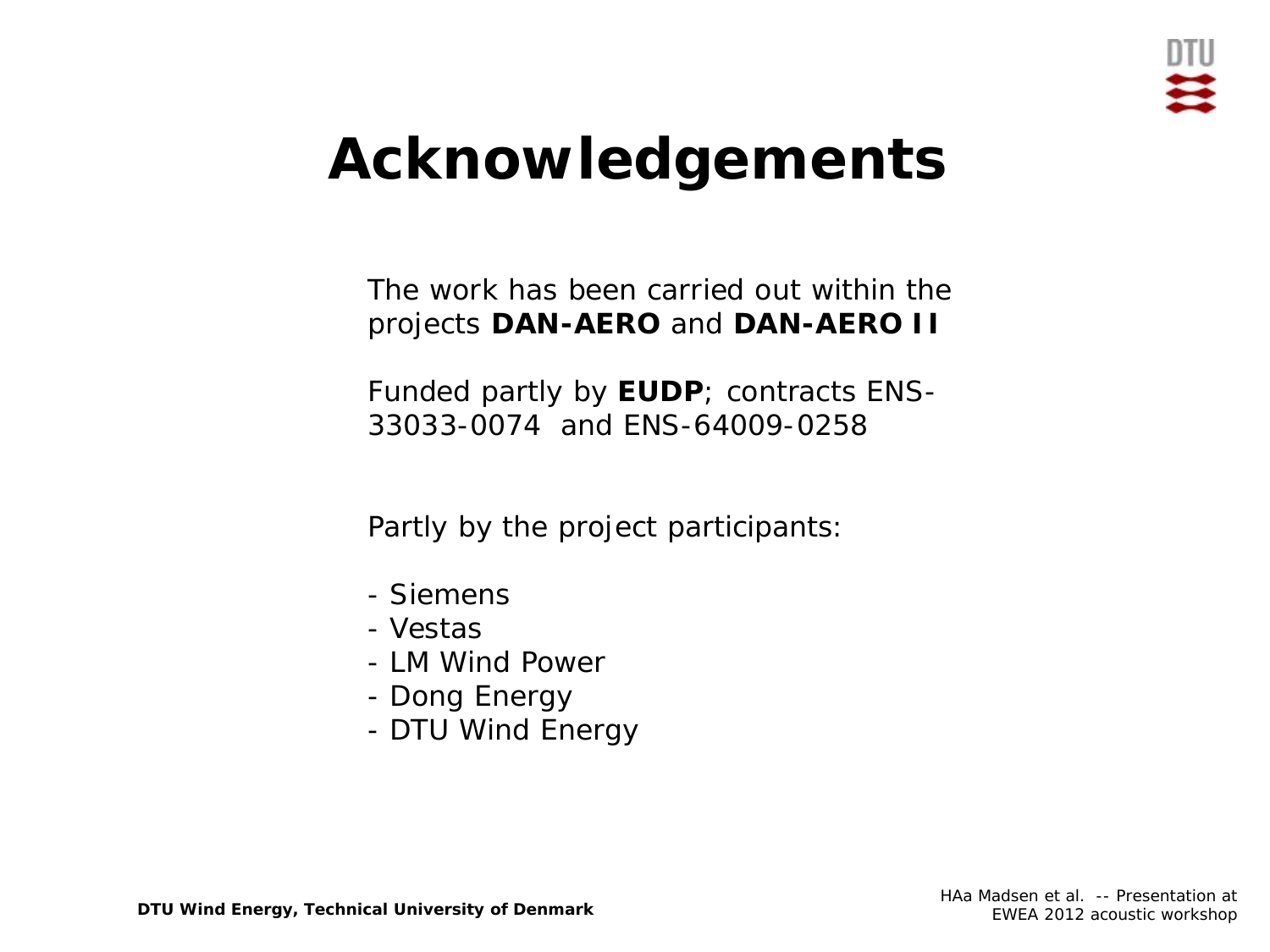

# **Acknowledgements**

The work has been carried out within the projects **DAN-AERO** and **DAN-AERO II**

Funded partly by **EUDP**; contracts ENS-33033-0074 and ENS-64009-0258

Partly by the project participants:

- Siemens
- Vestas
- LM Wind Power
- Dong Energy
- $\mathbf{V}$ - DTU Wind Energy